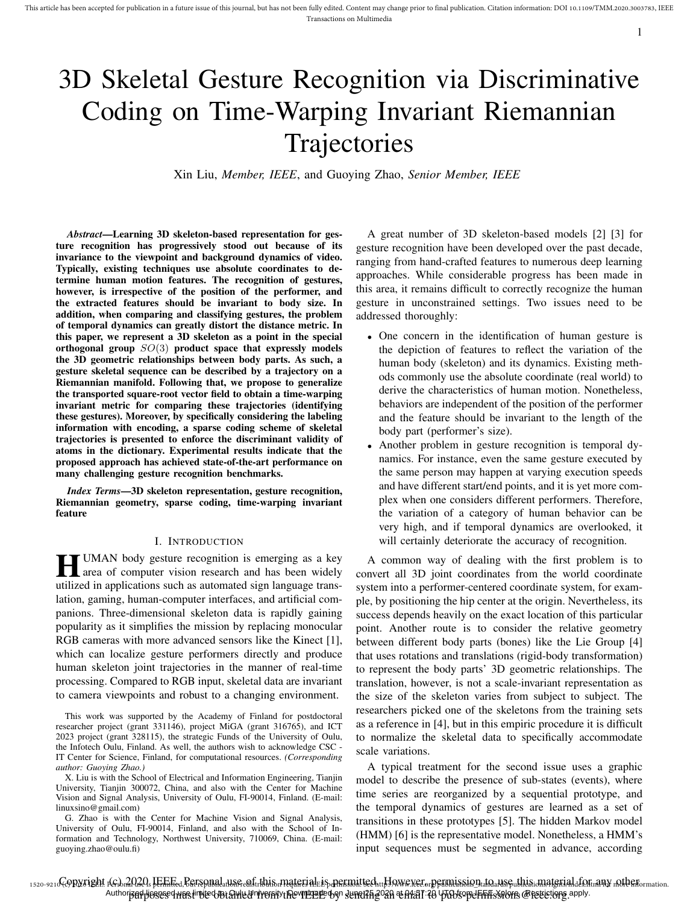# 3D Skeletal Gesture Recognition via Discriminative Coding on Time-Warping Invariant Riemannian **Trajectories**

Xin Liu, *Member, IEEE*, and Guoying Zhao, *Senior Member, IEEE*

*Abstract*—Learning 3D skeleton-based representation for gesture recognition has progressively stood out because of its invariance to the viewpoint and background dynamics of video. Typically, existing techniques use absolute coordinates to determine human motion features. The recognition of gestures, however, is irrespective of the position of the performer, and the extracted features should be invariant to body size. In addition, when comparing and classifying gestures, the problem of temporal dynamics can greatly distort the distance metric. In this paper, we represent a 3D skeleton as a point in the special orthogonal group  $SO(3)$  product space that expressly models the 3D geometric relationships between body parts. As such, a gesture skeletal sequence can be described by a trajectory on a Riemannian manifold. Following that, we propose to generalize the transported square-root vector field to obtain a time-warping invariant metric for comparing these trajectories (identifying these gestures). Moreover, by specifically considering the labeling information with encoding, a sparse coding scheme of skeletal trajectories is presented to enforce the discriminant validity of atoms in the dictionary. Experimental results indicate that the proposed approach has achieved state-of-the-art performance on many challenging gesture recognition benchmarks.

*Index Terms*—3D skeleton representation, gesture recognition, Riemannian geometry, sparse coding, time-warping invariant feature

#### I. INTRODUCTION

**H** UMAN body gesture recognition is emerging as a key area of computer vision research and has been widely area of computer vision research and has been widely utilized in applications such as automated sign language translation, gaming, human-computer interfaces, and artificial companions. Three-dimensional skeleton data is rapidly gaining popularity as it simplifies the mission by replacing monocular RGB cameras with more advanced sensors like the Kinect [1], which can localize gesture performers directly and produce human skeleton joint trajectories in the manner of real-time processing. Compared to RGB input, skeletal data are invariant to camera viewpoints and robust to a changing environment.

This work was supported by the Academy of Finland for postdoctoral researcher project (grant 331146), project MiGA (grant 316765), and ICT 2023 project (grant 328115), the strategic Funds of the University of Oulu, the Infotech Oulu, Finland. As well, the authors wish to acknowledge CSC - IT Center for Science, Finland, for computational resources. *(Corresponding author: Guoying Zhao.)*

X. Liu is with the School of Electrical and Information Engineering, Tianjin University, Tianjin 300072, China, and also with the Center for Machine Vision and Signal Analysis, University of Oulu, FI-90014, Finland. (E-mail: linuxsino@gmail.com)

G. Zhao is with the Center for Machine Vision and Signal Analysis, University of Oulu, FI-90014, Finland, and also with the School of Information and Technology, Northwest University, 710069, China. (E-mail: guoying.zhao@oulu.fi)

A great number of 3D skeleton-based models [2] [3] for gesture recognition have been developed over the past decade, ranging from hand-crafted features to numerous deep learning approaches. While considerable progress has been made in this area, it remains difficult to correctly recognize the human gesture in unconstrained settings. Two issues need to be addressed thoroughly:

- One concern in the identification of human gesture is the depiction of features to reflect the variation of the human body (skeleton) and its dynamics. Existing methods commonly use the absolute coordinate (real world) to derive the characteristics of human motion. Nonetheless, behaviors are independent of the position of the performer and the feature should be invariant to the length of the body part (performer's size).
- Another problem in gesture recognition is temporal dynamics. For instance, even the same gesture executed by the same person may happen at varying execution speeds and have different start/end points, and it is yet more complex when one considers different performers. Therefore, the variation of a category of human behavior can be very high, and if temporal dynamics are overlooked, it will certainly deteriorate the accuracy of recognition.

A common way of dealing with the first problem is to convert all 3D joint coordinates from the world coordinate system into a performer-centered coordinate system, for example, by positioning the hip center at the origin. Nevertheless, its success depends heavily on the exact location of this particular point. Another route is to consider the relative geometry between different body parts (bones) like the Lie Group [4] that uses rotations and translations (rigid-body transformation) to represent the body parts' 3D geometric relationships. The translation, however, is not a scale-invariant representation as the size of the skeleton varies from subject to subject. The researchers picked one of the skeletons from the training sets as a reference in [4], but in this empiric procedure it is difficult to normalize the skeletal data to specifically accommodate scale variations.

A typical treatment for the second issue uses a graphic model to describe the presence of sub-states (events), where time series are reorganized by a sequential prototype, and the temporal dynamics of gestures are learned as a set of transitions in these prototypes [5]. The hidden Markov model (HMM) [6] is the representative model. Nonetheless, a HMM's input sequences must be segmented in advance, according

1520-9210COPNTight 1GSbra020. HEFFE Retspnadatisse enfarthis material eis permitted att Howe veror permission ato ause athisional grial aformative nother communical Authorized besesed wes limited to: Awed Trentivi De VIETEE by June 25,2020 at 04:57:20 UTC from IEEE Xplore. @Pettetions apply.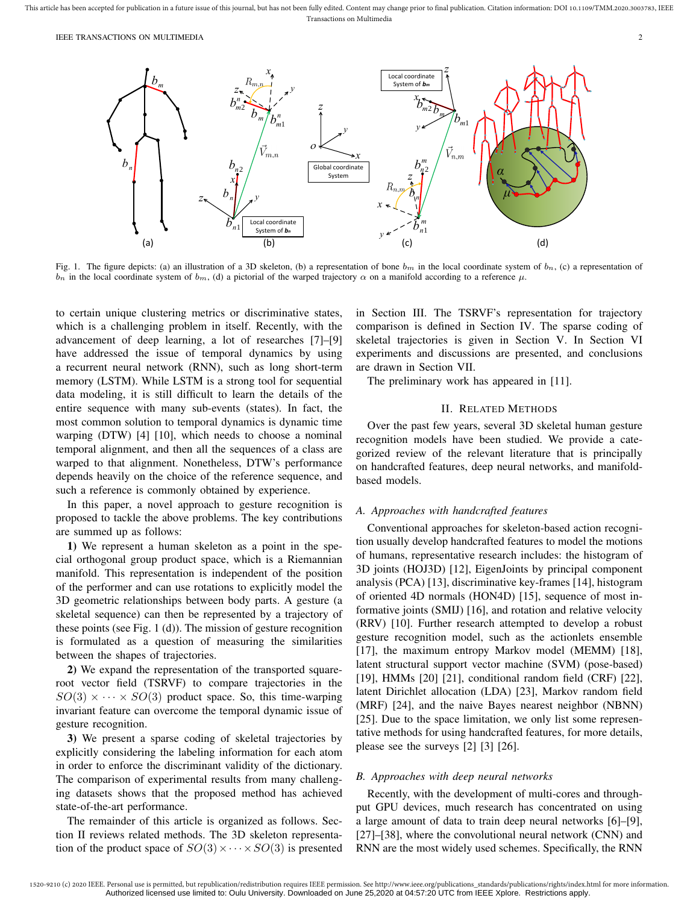

Fig. 1. The figure depicts: (a) an illustration of a 3D skeleton, (b) a representation of bone  $b_m$  in the local coordinate system of  $b_n$ , (c) a representation of  $b_n$  in the local coordinate system of  $b_m$ , (d) a pictorial of the warped trajectory  $\alpha$  on a manifold according to a reference  $\mu$ .

to certain unique clustering metrics or discriminative states, which is a challenging problem in itself. Recently, with the advancement of deep learning, a lot of researches [7]–[9] have addressed the issue of temporal dynamics by using a recurrent neural network (RNN), such as long short-term memory (LSTM). While LSTM is a strong tool for sequential data modeling, it is still difficult to learn the details of the entire sequence with many sub-events (states). In fact, the most common solution to temporal dynamics is dynamic time warping (DTW) [4] [10], which needs to choose a nominal temporal alignment, and then all the sequences of a class are warped to that alignment. Nonetheless, DTW's performance depends heavily on the choice of the reference sequence, and such a reference is commonly obtained by experience.

In this paper, a novel approach to gesture recognition is proposed to tackle the above problems. The key contributions are summed up as follows:

1) We represent a human skeleton as a point in the special orthogonal group product space, which is a Riemannian manifold. This representation is independent of the position of the performer and can use rotations to explicitly model the 3D geometric relationships between body parts. A gesture (a skeletal sequence) can then be represented by a trajectory of these points (see Fig. 1 (d)). The mission of gesture recognition is formulated as a question of measuring the similarities between the shapes of trajectories.

2) We expand the representation of the transported squareroot vector field (TSRVF) to compare trajectories in the  $SO(3) \times \cdots \times SO(3)$  product space. So, this time-warping invariant feature can overcome the temporal dynamic issue of gesture recognition.

3) We present a sparse coding of skeletal trajectories by explicitly considering the labeling information for each atom in order to enforce the discriminant validity of the dictionary. The comparison of experimental results from many challenging datasets shows that the proposed method has achieved state-of-the-art performance.

The remainder of this article is organized as follows. Section II reviews related methods. The 3D skeleton representation of the product space of  $SO(3) \times \cdots \times SO(3)$  is presented in Section III. The TSRVF's representation for trajectory comparison is defined in Section IV. The sparse coding of skeletal trajectories is given in Section V. In Section VI experiments and discussions are presented, and conclusions are drawn in Section VII.

The preliminary work has appeared in [11].

# II. RELATED METHODS

Over the past few years, several 3D skeletal human gesture recognition models have been studied. We provide a categorized review of the relevant literature that is principally on handcrafted features, deep neural networks, and manifoldbased models.

## *A. Approaches with handcrafted features*

Conventional approaches for skeleton-based action recognition usually develop handcrafted features to model the motions of humans, representative research includes: the histogram of 3D joints (HOJ3D) [12], EigenJoints by principal component analysis (PCA) [13], discriminative key-frames [14], histogram of oriented 4D normals (HON4D) [15], sequence of most informative joints (SMIJ) [16], and rotation and relative velocity (RRV) [10]. Further research attempted to develop a robust gesture recognition model, such as the actionlets ensemble [17], the maximum entropy Markov model (MEMM) [18], latent structural support vector machine (SVM) (pose-based) [19], HMMs [20] [21], conditional random field (CRF) [22], latent Dirichlet allocation (LDA) [23], Markov random field (MRF) [24], and the naive Bayes nearest neighbor (NBNN) [25]. Due to the space limitation, we only list some representative methods for using handcrafted features, for more details, please see the surveys [2] [3] [26].

# *B. Approaches with deep neural networks*

Recently, with the development of multi-cores and throughput GPU devices, much research has concentrated on using a large amount of data to train deep neural networks [6]–[9], [27]–[38], where the convolutional neural network (CNN) and RNN are the most widely used schemes. Specifically, the RNN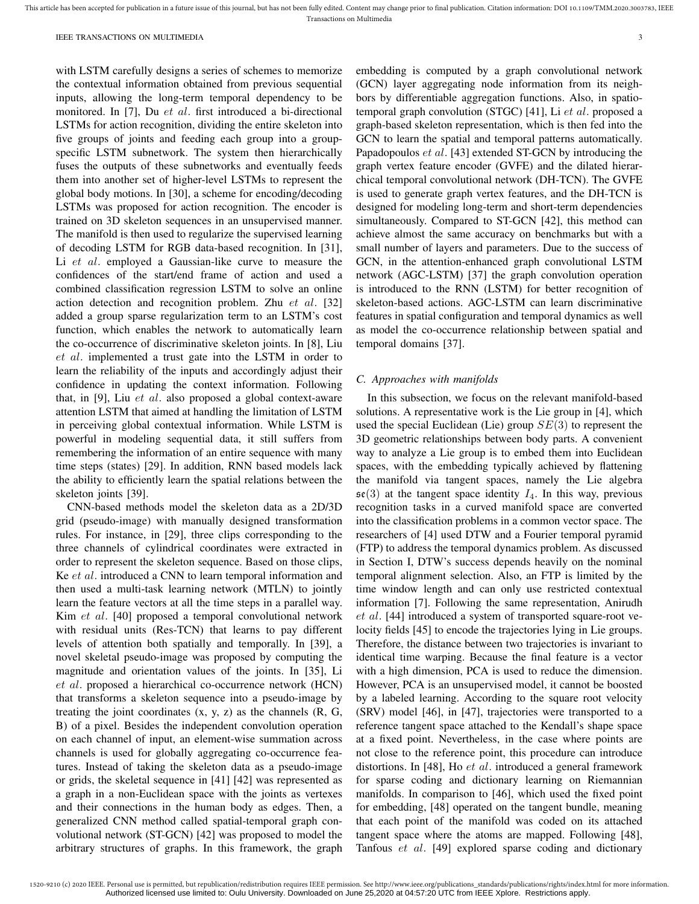This article has been accepted for publication in a future issue of this journal, but has not been fully edited. Content may change prior to final publication. Citation information: DOI 10.1109/TMM.2020.3003783, IEEE Transactions on Multimedia

with LSTM carefully designs a series of schemes to memorize the contextual information obtained from previous sequential inputs, allowing the long-term temporal dependency to be monitored. In [7], Du et al. first introduced a bi-directional LSTMs for action recognition, dividing the entire skeleton into five groups of joints and feeding each group into a groupspecific LSTM subnetwork. The system then hierarchically fuses the outputs of these subnetworks and eventually feeds them into another set of higher-level LSTMs to represent the global body motions. In [30], a scheme for encoding/decoding LSTMs was proposed for action recognition. The encoder is trained on 3D skeleton sequences in an unsupervised manner. The manifold is then used to regularize the supervised learning of decoding LSTM for RGB data-based recognition. In [31], Li et al. employed a Gaussian-like curve to measure the confidences of the start/end frame of action and used a combined classification regression LSTM to solve an online action detection and recognition problem. Zhu et al. [32] added a group sparse regularization term to an LSTM's cost function, which enables the network to automatically learn the co-occurrence of discriminative skeleton joints. In [8], Liu et al. implemented a trust gate into the LSTM in order to learn the reliability of the inputs and accordingly adjust their confidence in updating the context information. Following that, in [9], Liu  $et$  al. also proposed a global context-aware attention LSTM that aimed at handling the limitation of LSTM in perceiving global contextual information. While LSTM is powerful in modeling sequential data, it still suffers from remembering the information of an entire sequence with many time steps (states) [29]. In addition, RNN based models lack the ability to efficiently learn the spatial relations between the skeleton joints [39].

CNN-based methods model the skeleton data as a 2D/3D grid (pseudo-image) with manually designed transformation rules. For instance, in [29], three clips corresponding to the three channels of cylindrical coordinates were extracted in order to represent the skeleton sequence. Based on those clips, Ke et al. introduced a CNN to learn temporal information and then used a multi-task learning network (MTLN) to jointly learn the feature vectors at all the time steps in a parallel way. Kim et al. [40] proposed a temporal convolutional network with residual units (Res-TCN) that learns to pay different levels of attention both spatially and temporally. In [39], a novel skeletal pseudo-image was proposed by computing the magnitude and orientation values of the joints. In [35], Li et al. proposed a hierarchical co-occurrence network (HCN) that transforms a skeleton sequence into a pseudo-image by treating the joint coordinates (x, y, z) as the channels (R, G, B) of a pixel. Besides the independent convolution operation on each channel of input, an element-wise summation across channels is used for globally aggregating co-occurrence features. Instead of taking the skeleton data as a pseudo-image or grids, the skeletal sequence in [41] [42] was represented as a graph in a non-Euclidean space with the joints as vertexes and their connections in the human body as edges. Then, a generalized CNN method called spatial-temporal graph convolutional network (ST-GCN) [42] was proposed to model the arbitrary structures of graphs. In this framework, the graph

embedding is computed by a graph convolutional network (GCN) layer aggregating node information from its neighbors by differentiable aggregation functions. Also, in spatiotemporal graph convolution (STGC) [41], Li et al. proposed a graph-based skeleton representation, which is then fed into the GCN to learn the spatial and temporal patterns automatically. Papadopoulos *et al.* [43] extended ST-GCN by introducing the graph vertex feature encoder (GVFE) and the dilated hierarchical temporal convolutional network (DH-TCN). The GVFE is used to generate graph vertex features, and the DH-TCN is designed for modeling long-term and short-term dependencies simultaneously. Compared to ST-GCN [42], this method can achieve almost the same accuracy on benchmarks but with a small number of layers and parameters. Due to the success of GCN, in the attention-enhanced graph convolutional LSTM network (AGC-LSTM) [37] the graph convolution operation is introduced to the RNN (LSTM) for better recognition of skeleton-based actions. AGC-LSTM can learn discriminative features in spatial configuration and temporal dynamics as well as model the co-occurrence relationship between spatial and temporal domains [37].

#### *C. Approaches with manifolds*

In this subsection, we focus on the relevant manifold-based solutions. A representative work is the Lie group in [4], which used the special Euclidean (Lie) group  $SE(3)$  to represent the 3D geometric relationships between body parts. A convenient way to analyze a Lie group is to embed them into Euclidean spaces, with the embedding typically achieved by flattening the manifold via tangent spaces, namely the Lie algebra  $\mathfrak{se}(3)$  at the tangent space identity  $I_4$ . In this way, previous recognition tasks in a curved manifold space are converted into the classification problems in a common vector space. The researchers of [4] used DTW and a Fourier temporal pyramid (FTP) to address the temporal dynamics problem. As discussed in Section I, DTW's success depends heavily on the nominal temporal alignment selection. Also, an FTP is limited by the time window length and can only use restricted contextual information [7]. Following the same representation, Anirudh et al. [44] introduced a system of transported square-root velocity fields [45] to encode the trajectories lying in Lie groups. Therefore, the distance between two trajectories is invariant to identical time warping. Because the final feature is a vector with a high dimension, PCA is used to reduce the dimension. However, PCA is an unsupervised model, it cannot be boosted by a labeled learning. According to the square root velocity (SRV) model [46], in [47], trajectories were transported to a reference tangent space attached to the Kendall's shape space at a fixed point. Nevertheless, in the case where points are not close to the reference point, this procedure can introduce distortions. In [48], Ho et al. introduced a general framework for sparse coding and dictionary learning on Riemannian manifolds. In comparison to [46], which used the fixed point for embedding, [48] operated on the tangent bundle, meaning that each point of the manifold was coded on its attached tangent space where the atoms are mapped. Following [48], Tanfous et al. [49] explored sparse coding and dictionary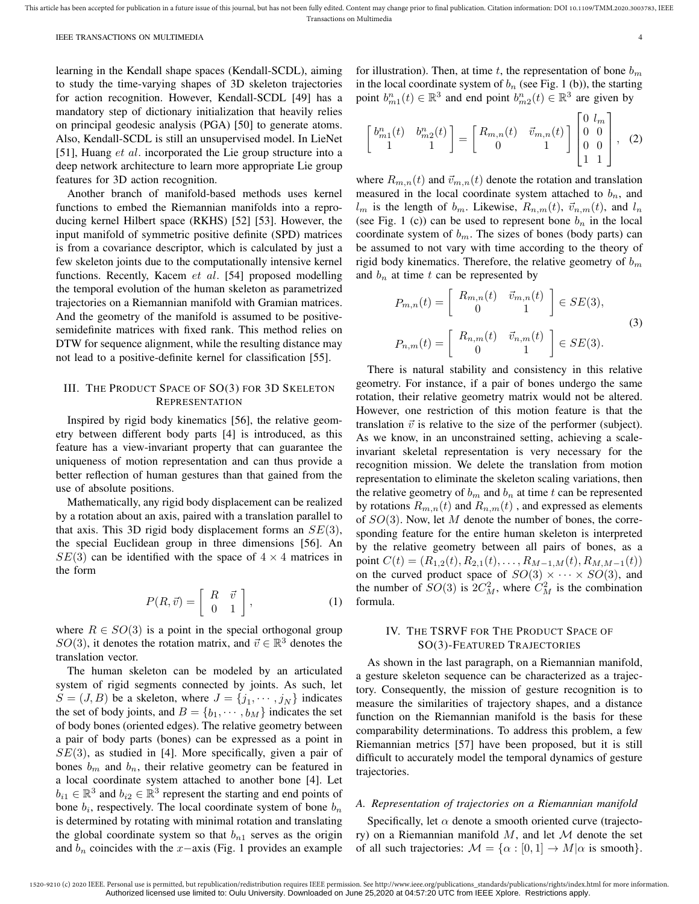learning in the Kendall shape spaces (Kendall-SCDL), aiming to study the time-varying shapes of 3D skeleton trajectories for action recognition. However, Kendall-SCDL [49] has a mandatory step of dictionary initialization that heavily relies on principal geodesic analysis (PGA) [50] to generate atoms. Also, Kendall-SCDL is still an unsupervised model. In LieNet [51], Huang *et al.* incorporated the Lie group structure into a deep network architecture to learn more appropriate Lie group features for 3D action recognition.

Another branch of manifold-based methods uses kernel functions to embed the Riemannian manifolds into a reproducing kernel Hilbert space (RKHS) [52] [53]. However, the input manifold of symmetric positive definite (SPD) matrices is from a covariance descriptor, which is calculated by just a few skeleton joints due to the computationally intensive kernel functions. Recently, Kacem et al. [54] proposed modelling the temporal evolution of the human skeleton as parametrized trajectories on a Riemannian manifold with Gramian matrices. And the geometry of the manifold is assumed to be positivesemidefinite matrices with fixed rank. This method relies on DTW for sequence alignment, while the resulting distance may not lead to a positive-definite kernel for classification [55].

# III. THE PRODUCT SPACE OF SO(3) FOR 3D SKELETON **REPRESENTATION**

Inspired by rigid body kinematics [56], the relative geometry between different body parts [4] is introduced, as this feature has a view-invariant property that can guarantee the uniqueness of motion representation and can thus provide a better reflection of human gestures than that gained from the use of absolute positions.

Mathematically, any rigid body displacement can be realized by a rotation about an axis, paired with a translation parallel to that axis. This 3D rigid body displacement forms an  $SE(3)$ , the special Euclidean group in three dimensions [56]. An  $SE(3)$  can be identified with the space of  $4 \times 4$  matrices in the form

$$
P(R,\vec{v}) = \left[ \begin{array}{cc} R & \vec{v} \\ 0 & 1 \end{array} \right],\tag{1}
$$

where  $R \in SO(3)$  is a point in the special orthogonal group SO(3), it denotes the rotation matrix, and  $\vec{v} \in \mathbb{R}^3$  denotes the translation vector.

The human skeleton can be modeled by an articulated system of rigid segments connected by joints. As such, let  $S = (J, B)$  be a skeleton, where  $J = \{j_1, \dots, j_N\}$  indicates the set of body joints, and  $B = \{b_1, \dots, b_M\}$  indicates the set of body bones (oriented edges). The relative geometry between a pair of body parts (bones) can be expressed as a point in  $SE(3)$ , as studied in [4]. More specifically, given a pair of bones  $b_m$  and  $b_n$ , their relative geometry can be featured in a local coordinate system attached to another bone [4]. Let  $b_{i1} \in \mathbb{R}^3$  and  $b_{i2} \in \mathbb{R}^3$  represent the starting and end points of bone  $b_i$ , respectively. The local coordinate system of bone  $b_n$ is determined by rotating with minimal rotation and translating the global coordinate system so that  $b_{n1}$  serves as the origin and  $b_n$  coincides with the x−axis (Fig. 1 provides an example for illustration). Then, at time  $t$ , the representation of bone  $b_m$ in the local coordinate system of  $b_n$  (see Fig. 1 (b)), the starting point  $b_{m1}^n(t) \in \mathbb{R}^3$  and end point  $b_{m2}^n(t) \in \mathbb{R}^3$  are given by

$$
\begin{bmatrix} b_{m1}^n(t) & b_{m2}^n(t) \\ 1 & 1 \end{bmatrix} = \begin{bmatrix} R_{m,n}(t) & \vec{v}_{m,n}(t) \\ 0 & 1 \end{bmatrix} \begin{bmatrix} 0 & l_m \\ 0 & 0 \\ 0 & 0 \\ 1 & 1 \end{bmatrix}, (2)
$$

where  $R_{m,n}(t)$  and  $\vec{v}_{m,n}(t)$  denote the rotation and translation measured in the local coordinate system attached to  $b_n$ , and  $l_m$  is the length of  $b_m$ . Likewise,  $R_{n,m}(t)$ ,  $\vec{v}_{n,m}(t)$ , and  $l_n$ (see Fig. 1 (c)) can be used to represent bone  $b_n$  in the local coordinate system of  $b_m$ . The sizes of bones (body parts) can be assumed to not vary with time according to the theory of rigid body kinematics. Therefore, the relative geometry of  $b_m$ and  $b_n$  at time t can be represented by

$$
P_{m,n}(t) = \begin{bmatrix} R_{m,n}(t) & \vec{v}_{m,n}(t) \\ 0 & 1 \end{bmatrix} \in SE(3),
$$
\n
$$
P_{n,m}(t) = \begin{bmatrix} R_{n,m}(t) & \vec{v}_{n,m}(t) \\ 0 & 1 \end{bmatrix} \in SE(3).
$$
\n
$$
(3)
$$

There is natural stability and consistency in this relative geometry. For instance, if a pair of bones undergo the same rotation, their relative geometry matrix would not be altered. However, one restriction of this motion feature is that the translation  $\vec{v}$  is relative to the size of the performer (subject). As we know, in an unconstrained setting, achieving a scaleinvariant skeletal representation is very necessary for the recognition mission. We delete the translation from motion representation to eliminate the skeleton scaling variations, then the relative geometry of  $b_m$  and  $b_n$  at time t can be represented by rotations  $R_{m,n}(t)$  and  $R_{n,m}(t)$ , and expressed as elements of  $SO(3)$ . Now, let M denote the number of bones, the corresponding feature for the entire human skeleton is interpreted by the relative geometry between all pairs of bones, as a point  $C(t) = (R_{1,2}(t), R_{2,1}(t), \ldots, R_{M-1,M}(t), R_{M,M-1}(t))$ on the curved product space of  $SO(3) \times \cdots \times SO(3)$ , and the number of  $SO(3)$  is  $2C_M^2$ , where  $C_M^2$  is the combination formula.

# IV. THE TSRVF FOR THE PRODUCT SPACE OF SO(3)-FEATURED TRAJECTORIES

As shown in the last paragraph, on a Riemannian manifold, a gesture skeleton sequence can be characterized as a trajectory. Consequently, the mission of gesture recognition is to measure the similarities of trajectory shapes, and a distance function on the Riemannian manifold is the basis for these comparability determinations. To address this problem, a few Riemannian metrics [57] have been proposed, but it is still difficult to accurately model the temporal dynamics of gesture trajectories.

# *A. Representation of trajectories on a Riemannian manifold*

Specifically, let  $\alpha$  denote a smooth oriented curve (trajectory) on a Riemannian manifold  $M$ , and let  $M$  denote the set of all such trajectories:  $M = {\alpha : [0, 1] \rightarrow M | \alpha \text{ is smooth}}$ .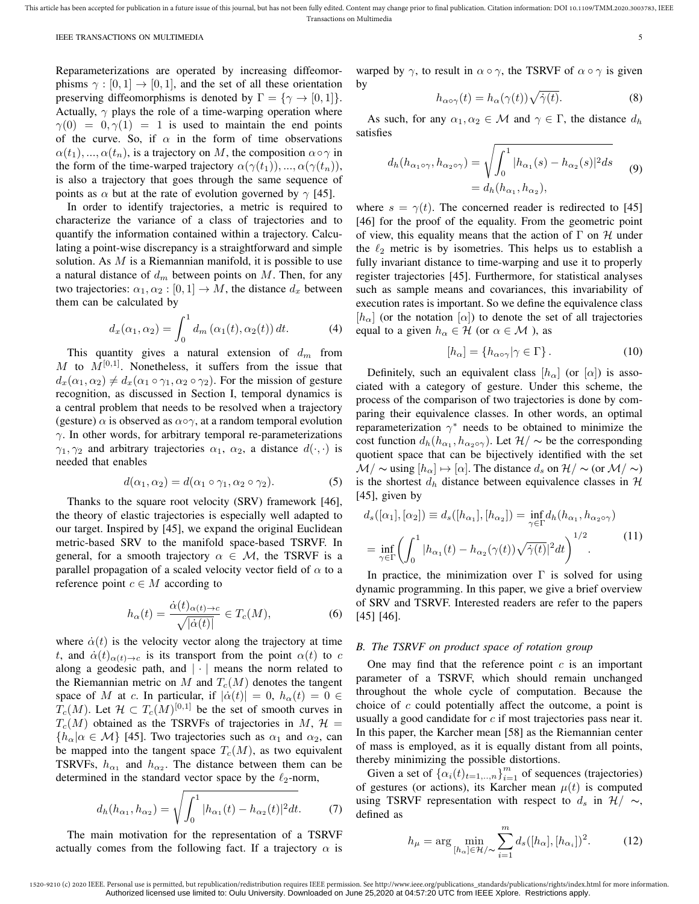Reparameterizations are operated by increasing diffeomorphisms  $\gamma : [0, 1] \rightarrow [0, 1]$ , and the set of all these orientation preserving diffeomorphisms is denoted by  $\Gamma = \{ \gamma \to [0, 1] \}.$ Actually,  $\gamma$  plays the role of a time-warping operation where  $\gamma(0) = 0, \gamma(1) = 1$  is used to maintain the end points of the curve. So, if  $\alpha$  in the form of time observations  $\alpha(t_1), \ldots, \alpha(t_n)$ , is a trajectory on M, the composition  $\alpha \circ \gamma$  in the form of the time-warped trajectory  $\alpha(\gamma(t_1)),...,\alpha(\gamma(t_n)),$ is also a trajectory that goes through the same sequence of points as  $\alpha$  but at the rate of evolution governed by  $\gamma$  [45].

In order to identify trajectories, a metric is required to characterize the variance of a class of trajectories and to quantify the information contained within a trajectory. Calculating a point-wise discrepancy is a straightforward and simple solution. As  $M$  is a Riemannian manifold, it is possible to use a natural distance of  $d_m$  between points on  $M$ . Then, for any two trajectories:  $\alpha_1, \alpha_2 : [0, 1] \rightarrow M$ , the distance  $d_x$  between them can be calculated by

$$
d_x(\alpha_1, \alpha_2) = \int_0^1 d_m(\alpha_1(t), \alpha_2(t)) dt.
$$
 (4)

This quantity gives a natural extension of  $d_m$  from  $M$  to  $M^{[0,1]}$ . Nonetheless, it suffers from the issue that  $d_x(\alpha_1, \alpha_2) \neq d_x(\alpha_1 \circ \gamma_1, \alpha_2 \circ \gamma_2)$ . For the mission of gesture recognition, as discussed in Section I, temporal dynamics is a central problem that needs to be resolved when a trajectory (gesture)  $\alpha$  is observed as  $\alpha \circ \gamma$ , at a random temporal evolution  $\gamma$ . In other words, for arbitrary temporal re-parameterizations  $\gamma_1, \gamma_2$  and arbitrary trajectories  $\alpha_1, \alpha_2,$  a distance  $d(\cdot, \cdot)$  is needed that enables

$$
d(\alpha_1, \alpha_2) = d(\alpha_1 \circ \gamma_1, \alpha_2 \circ \gamma_2). \tag{5}
$$

Thanks to the square root velocity (SRV) framework [46], the theory of elastic trajectories is especially well adapted to our target. Inspired by [45], we expand the original Euclidean metric-based SRV to the manifold space-based TSRVF. In general, for a smooth trajectory  $\alpha \in \mathcal{M}$ , the TSRVF is a parallel propagation of a scaled velocity vector field of  $\alpha$  to a reference point  $c \in M$  according to

$$
h_{\alpha}(t) = \frac{\dot{\alpha}(t)_{\alpha(t)\to c}}{\sqrt{|\dot{\alpha}(t)|}} \in T_c(M),\tag{6}
$$

where  $\dot{\alpha}(t)$  is the velocity vector along the trajectory at time t, and  $\dot{\alpha}(t)_{\alpha(t)\to c}$  is its transport from the point  $\alpha(t)$  to c along a geodesic path, and  $|\cdot|$  means the norm related to the Riemannian metric on M and  $T_c(M)$  denotes the tangent space of M at c. In particular, if  $|\dot{\alpha}(t)| = 0$ ,  $h_{\alpha}(t) = 0 \in$  $T_c(M)$ . Let  $\mathcal{H} \subset T_c(M)^{[0,1]}$  be the set of smooth curves in  $T_c(M)$  obtained as the TSRVFs of trajectories in M,  $\mathcal{H} =$  ${h_{\alpha}|\alpha \in \mathcal{M}}$  [45]. Two trajectories such as  $\alpha_1$  and  $\alpha_2$ , can be mapped into the tangent space  $T_c(M)$ , as two equivalent TSRVFs,  $h_{\alpha_1}$  and  $h_{\alpha_2}$ . The distance between them can be determined in the standard vector space by the  $\ell_2$ -norm,

$$
d_h(h_{\alpha_1}, h_{\alpha_2}) = \sqrt{\int_0^1 |h_{\alpha_1}(t) - h_{\alpha_2}(t)|^2 dt}.
$$
 (7)

The main motivation for the representation of a TSRVF actually comes from the following fact. If a trajectory  $\alpha$  is

warped by  $\gamma$ , to result in  $\alpha \circ \gamma$ , the TSRVF of  $\alpha \circ \gamma$  is given by

$$
h_{\alpha \circ \gamma}(t) = h_{\alpha}(\gamma(t))\sqrt{\dot{\gamma}(t)}.
$$
 (8)

As such, for any  $\alpha_1, \alpha_2 \in \mathcal{M}$  and  $\gamma \in \Gamma$ , the distance  $d_h$ satisfies

$$
d_h(h_{\alpha_1 \circ \gamma}, h_{\alpha_2 \circ \gamma}) = \sqrt{\int_0^1 |h_{\alpha_1}(s) - h_{\alpha_2}(s)|^2 ds}
$$
  
=  $d_h(h_{\alpha_1}, h_{\alpha_2}),$  (9)

where  $s = \gamma(t)$ . The concerned reader is redirected to [45] [46] for the proof of the equality. From the geometric point of view, this equality means that the action of  $\Gamma$  on  $\mathcal H$  under the  $\ell_2$  metric is by isometries. This helps us to establish a fully invariant distance to time-warping and use it to properly register trajectories [45]. Furthermore, for statistical analyses such as sample means and covariances, this invariability of execution rates is important. So we define the equivalence class  $[h_{\alpha}]$  (or the notation  $[\alpha]$ ) to denote the set of all trajectories equal to a given  $h_{\alpha} \in \mathcal{H}$  (or  $\alpha \in \mathcal{M}$ ), as

$$
[h_{\alpha}] = \{h_{\alpha \circ \gamma} | \gamma \in \Gamma\}.
$$
 (10)

Definitely, such an equivalent class  $|h_{\alpha}|$  (or  $|\alpha|$ ) is associated with a category of gesture. Under this scheme, the process of the comparison of two trajectories is done by comparing their equivalence classes. In other words, an optimal reparameterization  $\gamma^*$  needs to be obtained to minimize the cost function  $d_h(h_{\alpha_1}, h_{\alpha_2 \circ \gamma})$ . Let  $\mathcal{H}/\sim$  be the corresponding quotient space that can be bijectively identified with the set  $\mathcal{M}/\sim$  using  $[h_{\alpha}] \mapsto [\alpha]$ . The distance  $d_s$  on  $\mathcal{H}/\sim$  (or  $\mathcal{M}/\sim$ ) is the shortest  $d_h$  distance between equivalence classes in  $H$ [45], given by

$$
d_s([\alpha_1], [\alpha_2]) \equiv d_s([h_{\alpha_1}], [h_{\alpha_2}]) = \inf_{\gamma \in \Gamma} d_h(h_{\alpha_1}, h_{\alpha_2 \circ \gamma})
$$
  
= 
$$
\inf_{\gamma \in \Gamma} \left( \int_0^1 |h_{\alpha_1}(t) - h_{\alpha_2}(\gamma(t))\sqrt{\dot{\gamma}(t)}|^2 dt \right)^{1/2}.
$$
 (11)

In practice, the minimization over  $\Gamma$  is solved for using dynamic programming. In this paper, we give a brief overview of SRV and TSRVF. Interested readers are refer to the papers [45] [46].

## *B. The TSRVF on product space of rotation group*

One may find that the reference point  $c$  is an important parameter of a TSRVF, which should remain unchanged throughout the whole cycle of computation. Because the choice of c could potentially affect the outcome, a point is usually a good candidate for  $c$  if most trajectories pass near it. In this paper, the Karcher mean [58] as the Riemannian center of mass is employed, as it is equally distant from all points, thereby minimizing the possible distortions.

Given a set of  $\{\alpha_i(t)_{t=1,\dots,n}\}_{i=1}^m$  of sequences (trajectories) of gestures (or actions), its Karcher mean  $\mu(t)$  is computed using TSRVF representation with respect to  $d_s$  in  $\mathcal{H}/\sim$ , defined as

$$
h_{\mu} = \arg\min_{[h_{\alpha}] \in \mathcal{H}/\sim} \sum_{i=1}^{m} d_s([h_{\alpha}], [h_{\alpha_i}])^2.
$$
 (12)

<sup>1520-9210 (</sup>c) 2020 IEEE. Personal use is permitted, but republication/redistribution requires IEEE permission. See http://www.ieee.org/publications\_standards/publications/rights/index.html for more information. Authorized licensed use limited to: Oulu University. Downloaded on June 25,2020 at 04:57:20 UTC from IEEE Xplore. Restrictions apply.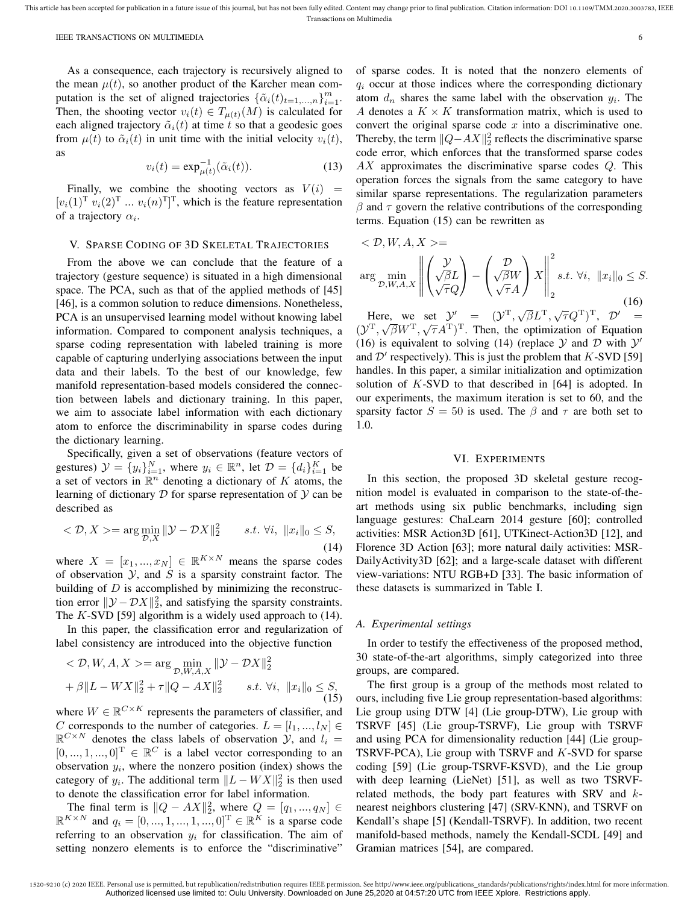As a consequence, each trajectory is recursively aligned to the mean  $\mu(t)$ , so another product of the Karcher mean computation is the set of aligned trajectories  $\{\tilde{\alpha}_i(t)_{t=1,\dots,n}\}_{i=1}^m$ . Then, the shooting vector  $v_i(t) \in T_{\mu(t)}(M)$  is calculated for each aligned trajectory  $\tilde{\alpha}_i(t)$  at time t so that a geodesic goes from  $\mu(t)$  to  $\tilde{\alpha}_i(t)$  in unit time with the initial velocity  $v_i(t)$ , as

$$
v_i(t) = \exp_{\mu(t)}^{-1}(\tilde{\alpha}_i(t)).
$$
\n(13)

Finally, we combine the shooting vectors as  $V(i)$  =  $[v_i(1)$ <sup>T</sup>  $v_i(2)$ <sup>T</sup> ...  $v_i(n)$ <sup>T</sup>]<sup>T</sup>, which is the feature representation of a trajectory  $\alpha_i$ .

# V. SPARSE CODING OF 3D SKELETAL TRAJECTORIES

From the above we can conclude that the feature of a trajectory (gesture sequence) is situated in a high dimensional space. The PCA, such as that of the applied methods of [45] [46], is a common solution to reduce dimensions. Nonetheless, PCA is an unsupervised learning model without knowing label information. Compared to component analysis techniques, a sparse coding representation with labeled training is more capable of capturing underlying associations between the input data and their labels. To the best of our knowledge, few manifold representation-based models considered the connection between labels and dictionary training. In this paper, we aim to associate label information with each dictionary atom to enforce the discriminability in sparse codes during the dictionary learning.

Specifically, given a set of observations (feature vectors of gestures)  $\mathcal{Y} = \{y_i\}_{i=1}^N$ , where  $y_i \in \mathbb{R}^n$ , let  $\mathcal{D} = \{d_i\}_{i=1}^K$  be a set of vectors in  $\mathbb{R}^n$  denoting a dictionary of K atoms, the learning of dictionary  $D$  for sparse representation of  $Y$  can be described as

$$
\langle \mathcal{D}, X \rangle = \arg\min_{\mathcal{D}, X} \|\mathcal{Y} - \mathcal{D}X\|_2^2 \qquad s.t. \ \forall i, \ \|x_i\|_0 \le S,
$$
\n(14)

where  $X = [x_1, ..., x_N] \in \mathbb{R}^{K \times N}$  means the sparse codes of observation  $Y$ , and  $S$  is a sparsity constraint factor. The building of  $D$  is accomplished by minimizing the reconstruction error  $\|\mathcal{Y} - \mathcal{D}X\|_2^2$ , and satisfying the sparsity constraints. The  $K$ -SVD [59] algorithm is a widely used approach to  $(14)$ .

In this paper, the classification error and regularization of label consistency are introduced into the objective function

$$
\langle \mathcal{D}, W, A, X \rangle = \arg \min_{\mathcal{D}, W, A, X} \|\mathcal{Y} - \mathcal{D}X\|_2^2
$$
  
+  $\beta \|L - WX\|_2^2 + \tau \|Q - AX\|_2^2$  *s.t.*  $\forall i, \|x_i\|_0 \le S,$  (15)

where  $W \in \mathbb{R}^{C \times K}$  represents the parameters of classifier, and C corresponds to the number of categories.  $L = [l_1, ..., l_N]$  $\mathbb{R}^{C \times N}$  denotes the class labels of observation  $\mathcal{Y}$ , and  $l_i =$  $[0, ..., 1, ..., 0]^T \in \mathbb{R}^C$  is a label vector corresponding to an observation  $y_i$ , where the nonzero position (index) shows the category of  $y_i$ . The additional term  $||L - W X||_2^2$  is then used to denote the classification error for label information.

The final term is  $||Q - AX||_2^2$ , where  $Q = [q_1, ..., q_N] \in$  $\mathbb{R}^{K \times N}$  and  $q_i = [0, ..., 1, ..., 1, ..., 0]^T \in \mathbb{R}^K$  is a sparse code referring to an observation  $y_i$  for classification. The aim of setting nonzero elements is to enforce the "discriminative" of sparse codes. It is noted that the nonzero elements of  $q_i$  occur at those indices where the corresponding dictionary atom  $d_n$  shares the same label with the observation  $y_i$ . The A denotes a  $K \times K$  transformation matrix, which is used to convert the original sparse code  $x$  into a discriminative one. Thereby, the term  $||Q-AX||_2^2$  reflects the discriminative sparse code error, which enforces that the transformed sparse codes  $AX$  approximates the discriminative sparse codes  $Q$ . This operation forces the signals from the same category to have similar sparse representations. The regularization parameters  $\beta$  and  $\tau$  govern the relative contributions of the corresponding terms. Equation (15) can be rewritten as

$$
\langle \mathcal{D}, W, A, X \rangle =
$$
  
arg min<sub>D, W, A, X</sub>  $\left\| \begin{pmatrix} \mathcal{Y} \\ \sqrt{\beta}L \\ \sqrt{\tau}Q \end{pmatrix} - \begin{pmatrix} \mathcal{D} \\ \sqrt{\beta}W \\ \sqrt{\tau}A \end{pmatrix} X \right\|_2^2 s.t. \forall i, ||x_i||_0 \le S.$  (16)

Here, we set  $\mathcal{Y}' = (\mathcal{Y}^T, \sqrt{\beta}L^T, \sqrt{\tau}Q^T)^T, \mathcal{D}' =$  $(\mathcal{Y}^T, \sqrt{\beta}W^T, \sqrt{\tau}A^T)^T$ . Then, the optimization of Equation (16) is equivalent to solving (14) (replace  $Y$  and  $D$  with  $Y'$ and  $\mathcal{D}'$  respectively). This is just the problem that  $K$ -SVD [59] handles. In this paper, a similar initialization and optimization solution of K-SVD to that described in [64] is adopted. In our experiments, the maximum iteration is set to 60, and the sparsity factor  $S = 50$  is used. The  $\beta$  and  $\tau$  are both set to 1.0.

# VI. EXPERIMENTS

In this section, the proposed 3D skeletal gesture recognition model is evaluated in comparison to the state-of-theart methods using six public benchmarks, including sign language gestures: ChaLearn 2014 gesture [60]; controlled activities: MSR Action3D [61], UTKinect-Action3D [12], and Florence 3D Action [63]; more natural daily activities: MSR-DailyActivity3D [62]; and a large-scale dataset with different view-variations: NTU RGB+D [33]. The basic information of these datasets is summarized in Table I.

#### *A. Experimental settings*

In order to testify the effectiveness of the proposed method, 30 state-of-the-art algorithms, simply categorized into three groups, are compared.

The first group is a group of the methods most related to ours, including five Lie group representation-based algorithms: Lie group using DTW [4] (Lie group-DTW), Lie group with TSRVF [45] (Lie group-TSRVF), Lie group with TSRVF and using PCA for dimensionality reduction [44] (Lie group-TSRVF-PCA), Lie group with TSRVF and K-SVD for sparse coding [59] (Lie group-TSRVF-KSVD), and the Lie group with deep learning (LieNet) [51], as well as two TSRVFrelated methods, the body part features with SRV and knearest neighbors clustering [47] (SRV-KNN), and TSRVF on Kendall's shape [5] (Kendall-TSRVF). In addition, two recent manifold-based methods, namely the Kendall-SCDL [49] and Gramian matrices [54], are compared.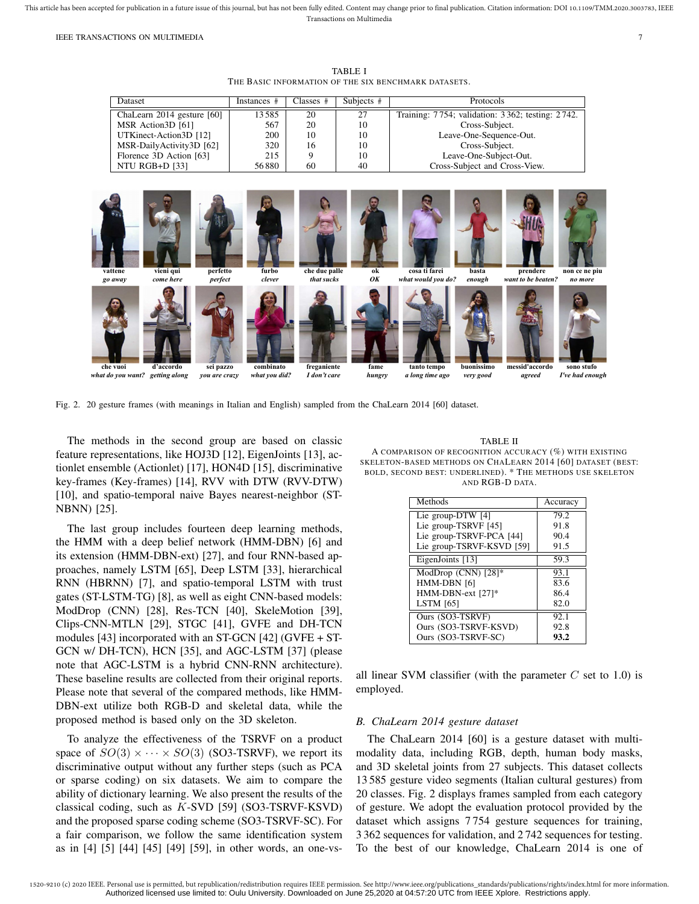TABLE I THE BASIC INFORMATION OF THE SIX BENCHMARK DATASETS.



Fig. 2. 20 gesture frames (with meanings in Italian and English) sampled from the ChaLearn 2014 [60] dataset.

The methods in the second group are based on classic feature representations, like HOJ3D [12], EigenJoints [13], actionlet ensemble (Actionlet) [17], HON4D [15], discriminative key-frames (Key-frames) [14], RVV with DTW (RVV-DTW) [10], and spatio-temporal naive Bayes nearest-neighbor (ST-NBNN) [25].

The last group includes fourteen deep learning methods, the HMM with a deep belief network (HMM-DBN) [6] and its extension (HMM-DBN-ext) [27], and four RNN-based approaches, namely LSTM [65], Deep LSTM [33], hierarchical RNN (HBRNN) [7], and spatio-temporal LSTM with trust gates (ST-LSTM-TG) [8], as well as eight CNN-based models: ModDrop (CNN) [28], Res-TCN [40], SkeleMotion [39], Clips-CNN-MTLN [29], STGC [41], GVFE and DH-TCN modules [43] incorporated with an ST-GCN [42] (GVFE + ST-GCN w/ DH-TCN), HCN [35], and AGC-LSTM [37] (please note that AGC-LSTM is a hybrid CNN-RNN architecture). These baseline results are collected from their original reports. Please note that several of the compared methods, like HMM-DBN-ext utilize both RGB-D and skeletal data, while the proposed method is based only on the 3D skeleton.

To analyze the effectiveness of the TSRVF on a product space of  $SO(3) \times \cdots \times SO(3)$  (SO3-TSRVF), we report its discriminative output without any further steps (such as PCA or sparse coding) on six datasets. We aim to compare the ability of dictionary learning. We also present the results of the classical coding, such as K-SVD [59] (SO3-TSRVF-KSVD) and the proposed sparse coding scheme (SO3-TSRVF-SC). For a fair comparison, we follow the same identification system as in [4] [5] [44] [45] [49] [59], in other words, an one-vs-

TABLE II

A COMPARISON OF RECOGNITION ACCURACY (%) WITH EXISTING SKELETON-BASED METHODS ON CHALEARN 2014 [60] DATASET (BEST: BOLD, SECOND BEST: UNDERLINED). \* THE METHODS USE SKELETON AND RGB-D DATA.

| Methods                   | Accuracy |
|---------------------------|----------|
| Lie group-DTW $[4]$       | 79.2     |
| Lie group-TSRVF [45]      | 91.8     |
| Lie group-TSRVF-PCA [44]  | 90.4     |
| Lie group-TSRVF-KSVD [59] | 91.5     |
| EigenJoints [13]          | 59.3     |
| ModDrop (CNN) [28]*       | 93.1     |
| HMM-DBN [6]               | 83.6     |
| HMM-DBN-ext [27]*         | 86.4     |
| <b>LSTM</b> [65]          | 82.0     |
| Ours (SO3-TSRVF)          | 92.1     |
| Ours (SO3-TSRVF-KSVD)     | 92.8     |
| Ours (SO3-TSRVF-SC)       | 93.2     |

all linear SVM classifier (with the parameter  $C$  set to 1.0) is employed.

# *B. ChaLearn 2014 gesture dataset*

The ChaLearn 2014 [60] is a gesture dataset with multimodality data, including RGB, depth, human body masks, and 3D skeletal joints from 27 subjects. This dataset collects 13 585 gesture video segments (Italian cultural gestures) from 20 classes. Fig. 2 displays frames sampled from each category of gesture. We adopt the evaluation protocol provided by the dataset which assigns 7 754 gesture sequences for training, 3 362 sequences for validation, and 2 742 sequences for testing. To the best of our knowledge, ChaLearn 2014 is one of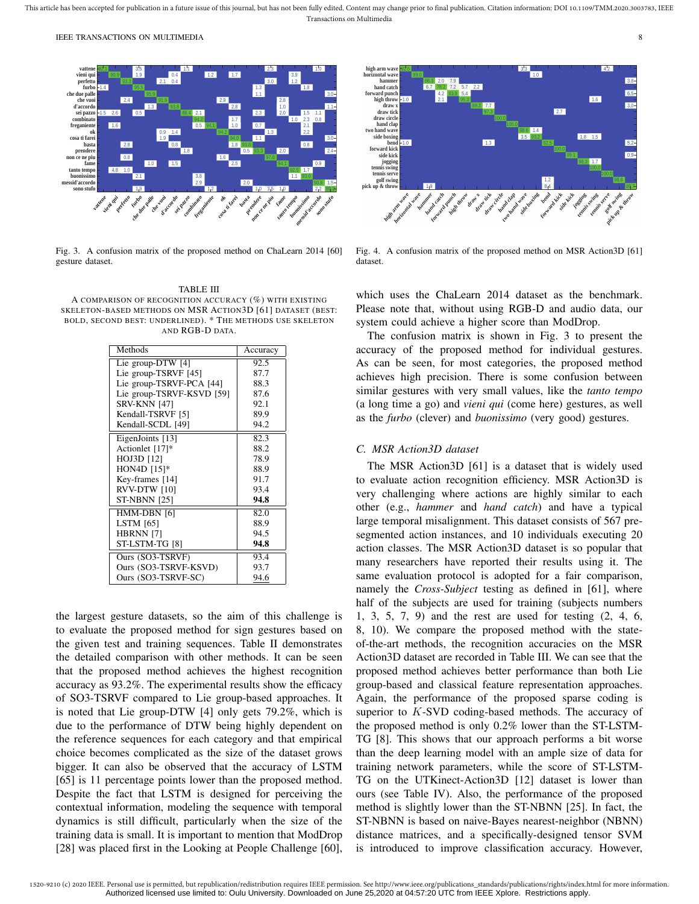

Fig. 3. A confusion matrix of the proposed method on ChaLearn 2014 [60] gesture dataset.

TABLE III A COMPARISON OF RECOGNITION ACCURACY (%) WITH EXISTING SKELETON-BASED METHODS ON MSR ACTION3D [61] DATASET (BEST: BOLD, SECOND BEST: UNDERLINED). \* THE METHODS USE SKELETON AND RGB-D DATA.

| Methods                   | Accuracy |
|---------------------------|----------|
| Lie group-DTW [4]         | 92.5     |
| Lie group-TSRVF [45]      | 87.7     |
| Lie group-TSRVF-PCA [44]  | 88.3     |
| Lie group-TSRVF-KSVD [59] | 87.6     |
| <b>SRV-KNN [47]</b>       | 92.1     |
| Kendall-TSRVF [5]         | 89.9     |
| Kendall-SCDL [49]         | 94.2     |
| EigenJoints [13]          | 82.3     |
| Actionlet [17]*           | 88.2     |
| HOJ3D [12]                | 78.9     |
| HON4D $[15]*$             | 88.9     |
| Key-frames [14]           | 91.7     |
| RVV-DTW [10]              | 93.4     |
| <b>ST-NBNN [25]</b>       | 94.8     |
| HMM-DBN [6]               | 82.0     |
| <b>LSTM</b> [65]          | 88.9     |
| <b>HBRNN</b> [7]          | 94.5     |
| ST-LSTM-TG [8]            | 94.8     |
| Ours (SO3-TSRVF)          | 93.4     |
| Ours (SO3-TSRVF-KSVD)     | 93.7     |
| Ours (SO3-TSRVF-SC)       | 94.6     |

the largest gesture datasets, so the aim of this challenge is to evaluate the proposed method for sign gestures based on the given test and training sequences. Table II demonstrates the detailed comparison with other methods. It can be seen that the proposed method achieves the highest recognition accuracy as 93.2%. The experimental results show the efficacy of SO3-TSRVF compared to Lie group-based approaches. It is noted that Lie group-DTW [4] only gets 79.2%, which is due to the performance of DTW being highly dependent on the reference sequences for each category and that empirical choice becomes complicated as the size of the dataset grows bigger. It can also be observed that the accuracy of LSTM [65] is 11 percentage points lower than the proposed method. Despite the fact that LSTM is designed for perceiving the contextual information, modeling the sequence with temporal dynamics is still difficult, particularly when the size of the training data is small. It is important to mention that ModDrop [28] was placed first in the Looking at People Challenge [60],



Fig. 4. A confusion matrix of the proposed method on MSR Action3D [61] dataset.

which uses the ChaLearn 2014 dataset as the benchmark. Please note that, without using RGB-D and audio data, our system could achieve a higher score than ModDrop.

The confusion matrix is shown in Fig. 3 to present the accuracy of the proposed method for individual gestures. As can be seen, for most categories, the proposed method achieves high precision. There is some confusion between similar gestures with very small values, like the *tanto tempo* (a long time a go) and *vieni qui* (come here) gestures, as well as the *furbo* (clever) and *buonissimo* (very good) gestures.

# *C. MSR Action3D dataset*

The MSR Action3D [61] is a dataset that is widely used to evaluate action recognition efficiency. MSR Action3D is very challenging where actions are highly similar to each other (e.g., *hammer* and *hand catch*) and have a typical large temporal misalignment. This dataset consists of 567 presegmented action instances, and 10 individuals executing 20 action classes. The MSR Action3D dataset is so popular that many researchers have reported their results using it. The same evaluation protocol is adopted for a fair comparison, namely the *Cross-Subject* testing as defined in [61], where half of the subjects are used for training (subjects numbers 1, 3, 5, 7, 9) and the rest are used for testing (2, 4, 6, 8, 10). We compare the proposed method with the stateof-the-art methods, the recognition accuracies on the MSR Action3D dataset are recorded in Table III. We can see that the proposed method achieves better performance than both Lie group-based and classical feature representation approaches. Again, the performance of the proposed sparse coding is superior to K-SVD coding-based methods. The accuracy of the proposed method is only 0.2% lower than the ST-LSTM-TG [8]. This shows that our approach performs a bit worse than the deep learning model with an ample size of data for training network parameters, while the score of ST-LSTM-TG on the UTKinect-Action3D [12] dataset is lower than ours (see Table IV). Also, the performance of the proposed method is slightly lower than the ST-NBNN [25]. In fact, the ST-NBNN is based on naive-Bayes nearest-neighbor (NBNN) distance matrices, and a specifically-designed tensor SVM is introduced to improve classification accuracy. However,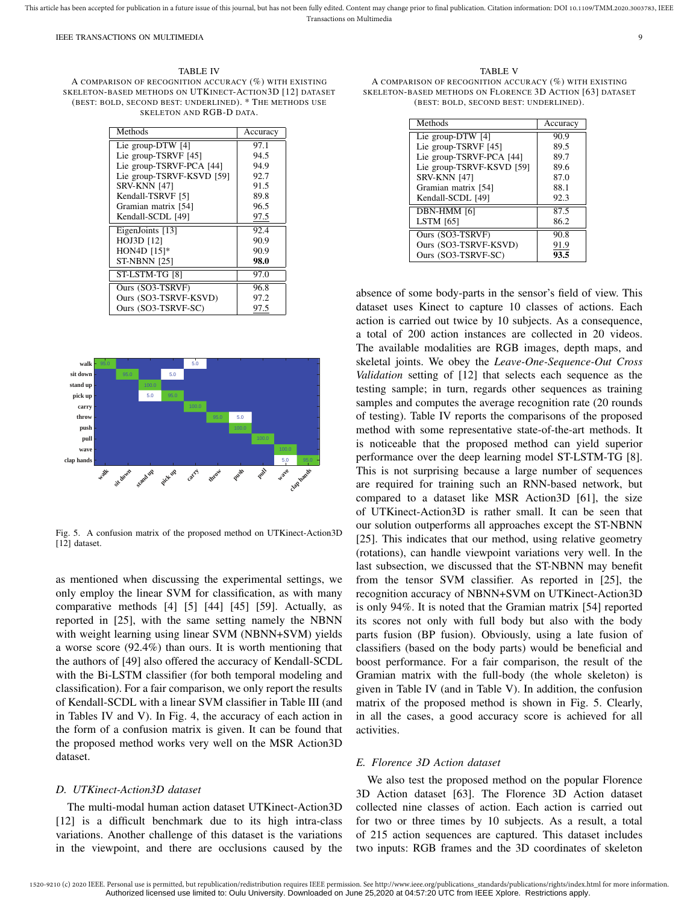TABLE IV A COMPARISON OF RECOGNITION ACCURACY (%) WITH EXISTING SKELETON-BASED METHODS ON UTKINECT-ACTION3D [12] DATASET (BEST: BOLD, SECOND BEST: UNDERLINED). \* THE METHODS USE SKELETON AND RGB-D DATA.

| Methods                   | Accuracy |
|---------------------------|----------|
| Lie group-DTW [4]         | 97.1     |
| Lie group-TSRVF [45]      | 94.5     |
| Lie group-TSRVF-PCA [44]  | 94.9     |
| Lie group-TSRVF-KSVD [59] | 92.7     |
| <b>SRV-KNN [47]</b>       | 91.5     |
| Kendall-TSRVF [5]         | 89.8     |
| Gramian matrix [54]       | 96.5     |
| Kendall-SCDL [49]         | 97.5     |
| EigenJoints [13]          | 92.4     |
| HOJ3D [12]                | 90.9     |
| HON4D [15]*               | 90.9     |
| <b>ST-NBNN [25]</b>       | 98.0     |
| ST-LSTM-TG [8]            | 97.0     |
| Ours (SO3-TSRVF)          | 96.8     |
| Ours (SO3-TSRVF-KSVD)     | 97.2     |
| Ours (SO3-TSRVF-SC)       | 97.5     |



Fig. 5. A confusion matrix of the proposed method on UTKinect-Action3D [12] dataset.

as mentioned when discussing the experimental settings, we only employ the linear SVM for classification, as with many comparative methods [4] [5] [44] [45] [59]. Actually, as reported in [25], with the same setting namely the NBNN with weight learning using linear SVM (NBNN+SVM) yields a worse score (92.4%) than ours. It is worth mentioning that the authors of [49] also offered the accuracy of Kendall-SCDL with the Bi-LSTM classifier (for both temporal modeling and classification). For a fair comparison, we only report the results of Kendall-SCDL with a linear SVM classifier in Table III (and in Tables IV and V). In Fig. 4, the accuracy of each action in the form of a confusion matrix is given. It can be found that the proposed method works very well on the MSR Action3D dataset.

## *D. UTKinect-Action3D dataset*

The multi-modal human action dataset UTKinect-Action3D [12] is a difficult benchmark due to its high intra-class variations. Another challenge of this dataset is the variations in the viewpoint, and there are occlusions caused by the

TABLE V A COMPARISON OF RECOGNITION ACCURACY (%) WITH EXISTING SKELETON-BASED METHODS ON FLORENCE 3D ACTION [63] DATASET (BEST: BOLD, SECOND BEST: UNDERLINED).

| Methods                   | Accuracy |
|---------------------------|----------|
| Lie group-DTW [4]         | 90.9     |
| Lie group-TSRVF [45]      | 89.5     |
| Lie group-TSRVF-PCA [44]  | 89.7     |
| Lie group-TSRVF-KSVD [59] | 89.6     |
| <b>SRV-KNN [47]</b>       | 87.0     |
| Gramian matrix [54]       | 88.1     |
| Kendall-SCDL [49]         | 92.3     |
| DBN-HMM [6]               | 87.5     |
| <b>LSTM</b> [65]          | 86.2     |
| Ours (SO3-TSRVF)          | 90.8     |
| Ours (SO3-TSRVF-KSVD)     | 91.9     |
| Ours (SO3-TSRVF-SC)       | 93.5     |

absence of some body-parts in the sensor's field of view. This dataset uses Kinect to capture 10 classes of actions. Each action is carried out twice by 10 subjects. As a consequence, a total of 200 action instances are collected in 20 videos. The available modalities are RGB images, depth maps, and skeletal joints. We obey the *Leave-One-Sequence-Out Cross Validation* setting of [12] that selects each sequence as the testing sample; in turn, regards other sequences as training samples and computes the average recognition rate (20 rounds of testing). Table IV reports the comparisons of the proposed method with some representative state-of-the-art methods. It is noticeable that the proposed method can yield superior performance over the deep learning model ST-LSTM-TG [8]. This is not surprising because a large number of sequences are required for training such an RNN-based network, but compared to a dataset like MSR Action3D [61], the size of UTKinect-Action3D is rather small. It can be seen that our solution outperforms all approaches except the ST-NBNN [25]. This indicates that our method, using relative geometry (rotations), can handle viewpoint variations very well. In the last subsection, we discussed that the ST-NBNN may benefit from the tensor SVM classifier. As reported in [25], the recognition accuracy of NBNN+SVM on UTKinect-Action3D is only 94%. It is noted that the Gramian matrix [54] reported its scores not only with full body but also with the body parts fusion (BP fusion). Obviously, using a late fusion of classifiers (based on the body parts) would be beneficial and boost performance. For a fair comparison, the result of the Gramian matrix with the full-body (the whole skeleton) is given in Table IV (and in Table V). In addition, the confusion matrix of the proposed method is shown in Fig. 5. Clearly, in all the cases, a good accuracy score is achieved for all activities.

# *E. Florence 3D Action dataset*

We also test the proposed method on the popular Florence 3D Action dataset [63]. The Florence 3D Action dataset collected nine classes of action. Each action is carried out for two or three times by 10 subjects. As a result, a total of 215 action sequences are captured. This dataset includes two inputs: RGB frames and the 3D coordinates of skeleton

<sup>1520-9210 (</sup>c) 2020 IEEE. Personal use is permitted, but republication/redistribution requires IEEE permission. See http://www.ieee.org/publications\_standards/publications/rights/index.html for more information. Authorized licensed use limited to: Oulu University. Downloaded on June 25,2020 at 04:57:20 UTC from IEEE Xplore. Restrictions apply.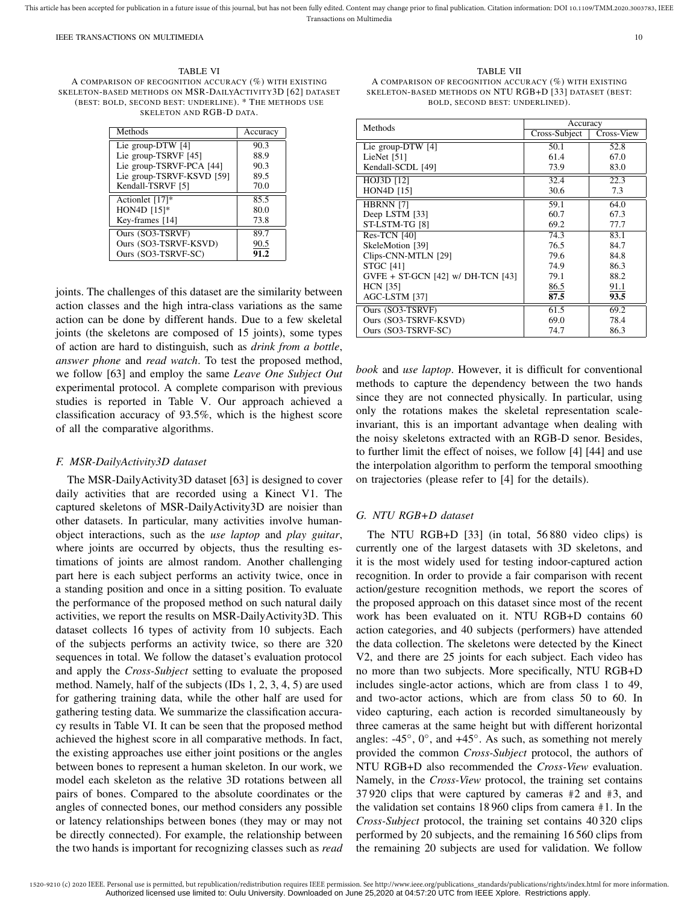TABLE VI A COMPARISON OF RECOGNITION ACCURACY (%) WITH EXISTING SKELETON-BASED METHODS ON MSR-DAILYACTIVITY3D [62] DATASET (BEST: BOLD, SECOND BEST: UNDERLINE). \* THE METHODS USE SKELETON AND RGB-D DATA.

| Methods                   | Accuracy |
|---------------------------|----------|
| Lie group-DTW [4]         | 90.3     |
| Lie group-TSRVF [45]      | 88.9     |
| Lie group-TSRVF-PCA [44]  | 90.3     |
| Lie group-TSRVF-KSVD [59] | 89.5     |
| Kendall-TSRVF [5]         | 70.0     |
| Actionlet [17]*           | 85.5     |
| HON4D [15]*               | 80.0     |
| Key-frames [14]           | 73.8     |
| Ours (SO3-TSRVF)          | 89.7     |
| Ours (SO3-TSRVF-KSVD)     | 90.5     |
| Ours (SO3-TSRVF-SC)       | 91.2     |

joints. The challenges of this dataset are the similarity between action classes and the high intra-class variations as the same action can be done by different hands. Due to a few skeletal joints (the skeletons are composed of 15 joints), some types of action are hard to distinguish, such as *drink from a bottle*, *answer phone* and *read watch*. To test the proposed method, we follow [63] and employ the same *Leave One Subject Out* experimental protocol. A complete comparison with previous studies is reported in Table V. Our approach achieved a classification accuracy of 93.5%, which is the highest score of all the comparative algorithms.

## *F. MSR-DailyActivity3D dataset*

The MSR-DailyActivity3D dataset [63] is designed to cover daily activities that are recorded using a Kinect V1. The captured skeletons of MSR-DailyActivity3D are noisier than other datasets. In particular, many activities involve humanobject interactions, such as the *use laptop* and *play guitar*, where joints are occurred by objects, thus the resulting estimations of joints are almost random. Another challenging part here is each subject performs an activity twice, once in a standing position and once in a sitting position. To evaluate the performance of the proposed method on such natural daily activities, we report the results on MSR-DailyActivity3D. This dataset collects 16 types of activity from 10 subjects. Each of the subjects performs an activity twice, so there are 320 sequences in total. We follow the dataset's evaluation protocol and apply the *Cross-Subject* setting to evaluate the proposed method. Namely, half of the subjects (IDs 1, 2, 3, 4, 5) are used for gathering training data, while the other half are used for gathering testing data. We summarize the classification accuracy results in Table VI. It can be seen that the proposed method achieved the highest score in all comparative methods. In fact, the existing approaches use either joint positions or the angles between bones to represent a human skeleton. In our work, we model each skeleton as the relative 3D rotations between all pairs of bones. Compared to the absolute coordinates or the angles of connected bones, our method considers any possible or latency relationships between bones (they may or may not be directly connected). For example, the relationship between the two hands is important for recognizing classes such as *read*

TABLE VII A COMPARISON OF RECOGNITION ACCURACY (%) WITH EXISTING SKELETON-BASED METHODS ON NTU RGB+D [33] DATASET (BEST: BOLD, SECOND BEST: UNDERLINED).

| Methods                           | Accuracy      |            |
|-----------------------------------|---------------|------------|
|                                   | Cross-Subject | Cross-View |
| Lie group-DTW $[4]$               | 50.1          | 52.8       |
| LieNet [51]                       | 61.4          | 67.0       |
| Kendall-SCDL [49]                 | 73.9          | 83.0       |
| HOJ3D [12]                        | 32.4          | 22.3       |
| <b>HON4D</b> [15]                 | 30.6          | 7.3        |
| HBRNN [7]                         | 59.1          | 64.0       |
| Deep LSTM [33]                    | 60.7          | 67.3       |
| ST-LSTM-TG [8]                    | 69.2          | 77.7       |
| Res-TCN [40]                      | 74.3          | 83.1       |
| SkeleMotion [39]                  | 76.5          | 84.7       |
| Clips-CNN-MTLN [29]               | 79.6          | 84.8       |
| <b>STGC [41]</b>                  | 74.9          | 86.3       |
| GVFE + ST-GCN [42] w/ DH-TCN [43] | 79.1          | 88.2       |
| <b>HCN</b> [35]                   | 86.5          | 91.1       |
| AGC-LSTM [37]                     | 87.5          | 93.5       |
| Ours (SO3-TSRVF)                  | 61.5          | 69.2       |
| Ours (SO3-TSRVF-KSVD)             | 69.0          | 78.4       |
| Ours (SO3-TSRVF-SC)               | 74.7          | 86.3       |

*book* and *use laptop*. However, it is difficult for conventional methods to capture the dependency between the two hands since they are not connected physically. In particular, using only the rotations makes the skeletal representation scaleinvariant, this is an important advantage when dealing with the noisy skeletons extracted with an RGB-D senor. Besides, to further limit the effect of noises, we follow [4] [44] and use the interpolation algorithm to perform the temporal smoothing on trajectories (please refer to [4] for the details).

# *G. NTU RGB+D dataset*

The NTU RGB+D [33] (in total, 56 880 video clips) is currently one of the largest datasets with 3D skeletons, and it is the most widely used for testing indoor-captured action recognition. In order to provide a fair comparison with recent action/gesture recognition methods, we report the scores of the proposed approach on this dataset since most of the recent work has been evaluated on it. NTU RGB+D contains 60 action categories, and 40 subjects (performers) have attended the data collection. The skeletons were detected by the Kinect V2, and there are 25 joints for each subject. Each video has no more than two subjects. More specifically, NTU RGB+D includes single-actor actions, which are from class 1 to 49, and two-actor actions, which are from class 50 to 60. In video capturing, each action is recorded simultaneously by three cameras at the same height but with different horizontal angles:  $-45^\circ$ ,  $0^\circ$ , and  $+45^\circ$ . As such, as something not merely provided the common *Cross-Subject* protocol, the authors of NTU RGB+D also recommended the *Cross-View* evaluation. Namely, in the *Cross-View* protocol, the training set contains 37 920 clips that were captured by cameras #2 and #3, and the validation set contains 18 960 clips from camera #1. In the *Cross-Subject* protocol, the training set contains 40 320 clips performed by 20 subjects, and the remaining 16 560 clips from the remaining 20 subjects are used for validation. We follow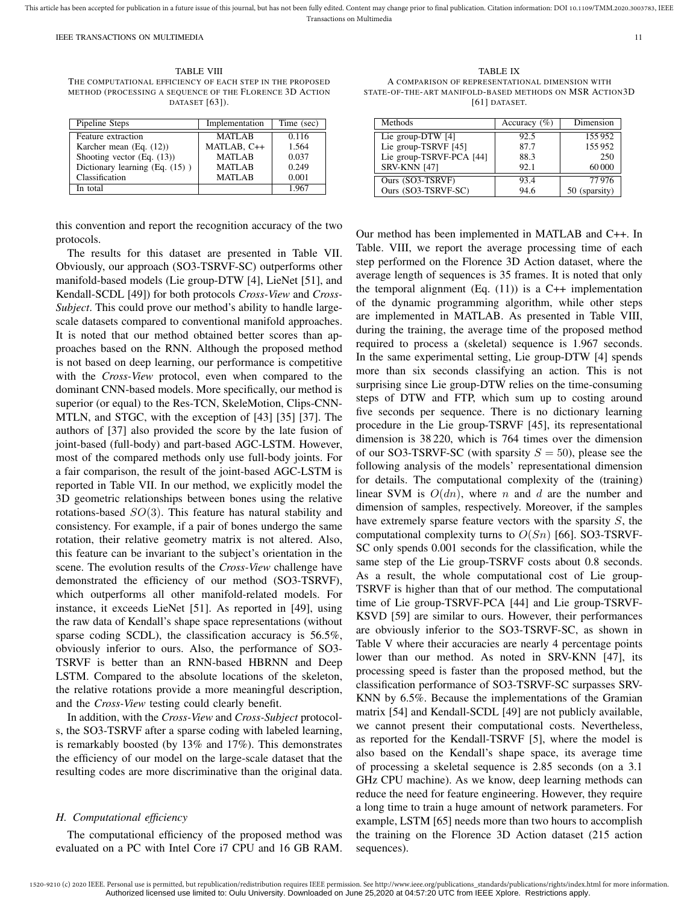This article has been accepted for publication in a future issue of this journal, but has not been fully edited. Content may change prior to final publication. Citation information: DOI 10.1109/TMM.2020.3003783, IEEE Transactions on Multimedia

IEEE TRANSACTIONS ON MULTIMEDIA 11

TABLE VIII THE COMPUTATIONAL EFFICIENCY OF EACH STEP IN THE PROPOSED METHOD (PROCESSING A SEQUENCE OF THE FLORENCE 3D ACTION DATASET [63]).

| Pipeline Steps                 | Implementation | Time (sec) |
|--------------------------------|----------------|------------|
| Feature extraction             | <b>MATLAB</b>  | 0.116      |
| Karcher mean $(Eq. (12))$      | MATLAB, C++    | 1.564      |
| Shooting vector $(Eq. (13))$   | <b>MATLAB</b>  | 0.037      |
| Dictionary learning (Eq. (15)) | <b>MATLAB</b>  | 0.249      |
| Classification                 | <b>MATLAB</b>  | 0.001      |
| In total                       |                | 1.967      |

this convention and report the recognition accuracy of the two protocols.

The results for this dataset are presented in Table VII. Obviously, our approach (SO3-TSRVF-SC) outperforms other manifold-based models (Lie group-DTW [4], LieNet [51], and Kendall-SCDL [49]) for both protocols *Cross-View* and *Cross-Subject*. This could prove our method's ability to handle largescale datasets compared to conventional manifold approaches. It is noted that our method obtained better scores than approaches based on the RNN. Although the proposed method is not based on deep learning, our performance is competitive with the *Cross-View* protocol, even when compared to the dominant CNN-based models. More specifically, our method is superior (or equal) to the Res-TCN, SkeleMotion, Clips-CNN-MTLN, and STGC, with the exception of [43] [35] [37]. The authors of [37] also provided the score by the late fusion of joint-based (full-body) and part-based AGC-LSTM. However, most of the compared methods only use full-body joints. For a fair comparison, the result of the joint-based AGC-LSTM is reported in Table VII. In our method, we explicitly model the 3D geometric relationships between bones using the relative rotations-based  $SO(3)$ . This feature has natural stability and consistency. For example, if a pair of bones undergo the same rotation, their relative geometry matrix is not altered. Also, this feature can be invariant to the subject's orientation in the scene. The evolution results of the *Cross-View* challenge have demonstrated the efficiency of our method (SO3-TSRVF), which outperforms all other manifold-related models. For instance, it exceeds LieNet [51]. As reported in [49], using the raw data of Kendall's shape space representations (without sparse coding SCDL), the classification accuracy is 56.5%, obviously inferior to ours. Also, the performance of SO3- TSRVF is better than an RNN-based HBRNN and Deep LSTM. Compared to the absolute locations of the skeleton, the relative rotations provide a more meaningful description, and the *Cross-View* testing could clearly benefit.

In addition, with the *Cross-View* and *Cross-Subject* protocols, the SO3-TSRVF after a sparse coding with labeled learning, is remarkably boosted (by 13% and 17%). This demonstrates the efficiency of our model on the large-scale dataset that the resulting codes are more discriminative than the original data.

## *H. Computational efficiency*

The computational efficiency of the proposed method was evaluated on a PC with Intel Core i7 CPU and 16 GB RAM.

TABLE IX A COMPARISON OF REPRESENTATIONAL DIMENSION WITH STATE-OF-THE-ART MANIFOLD-BASED METHODS ON MSR ACTION3D [61] DATASET.

| Methods                  | Accuracy $(\% )$ | Dimension     |
|--------------------------|------------------|---------------|
| Lie group-DTW $[4]$      | 92.5             | 155952        |
| Lie group-TSRVF [45]     | 87.7             | 155952        |
| Lie group-TSRVF-PCA [44] | 88.3             | 250           |
| <b>SRV-KNN [47]</b>      | 92.1             | 60000         |
| Ours (SO3-TSRVF)         | 93.4             | 77976         |
| Ours (SO3-TSRVF-SC)      | 94.6             | 50 (sparsity) |

Our method has been implemented in MATLAB and C++. In Table. VIII, we report the average processing time of each step performed on the Florence 3D Action dataset, where the average length of sequences is 35 frames. It is noted that only the temporal alignment (Eq.  $(11)$ ) is a C++ implementation of the dynamic programming algorithm, while other steps are implemented in MATLAB. As presented in Table VIII, during the training, the average time of the proposed method required to process a (skeletal) sequence is 1.967 seconds. In the same experimental setting, Lie group-DTW [4] spends more than six seconds classifying an action. This is not surprising since Lie group-DTW relies on the time-consuming steps of DTW and FTP, which sum up to costing around five seconds per sequence. There is no dictionary learning procedure in the Lie group-TSRVF [45], its representational dimension is 38 220, which is 764 times over the dimension of our SO3-TSRVF-SC (with sparsity  $S = 50$ ), please see the following analysis of the models' representational dimension for details. The computational complexity of the (training) linear SVM is  $O(dn)$ , where n and d are the number and dimension of samples, respectively. Moreover, if the samples have extremely sparse feature vectors with the sparsity  $S$ , the computational complexity turns to  $O(Sn)$  [66]. SO3-TSRVF-SC only spends 0.001 seconds for the classification, while the same step of the Lie group-TSRVF costs about 0.8 seconds. As a result, the whole computational cost of Lie group-TSRVF is higher than that of our method. The computational time of Lie group-TSRVF-PCA [44] and Lie group-TSRVF-KSVD [59] are similar to ours. However, their performances are obviously inferior to the SO3-TSRVF-SC, as shown in Table V where their accuracies are nearly 4 percentage points lower than our method. As noted in SRV-KNN [47], its processing speed is faster than the proposed method, but the classification performance of SO3-TSRVF-SC surpasses SRV-KNN by 6.5%. Because the implementations of the Gramian matrix [54] and Kendall-SCDL [49] are not publicly available, we cannot present their computational costs. Nevertheless, as reported for the Kendall-TSRVF [5], where the model is also based on the Kendall's shape space, its average time of processing a skeletal sequence is 2.85 seconds (on a 3.1 GHz CPU machine). As we know, deep learning methods can reduce the need for feature engineering. However, they require a long time to train a huge amount of network parameters. For example, LSTM [65] needs more than two hours to accomplish the training on the Florence 3D Action dataset (215 action sequences).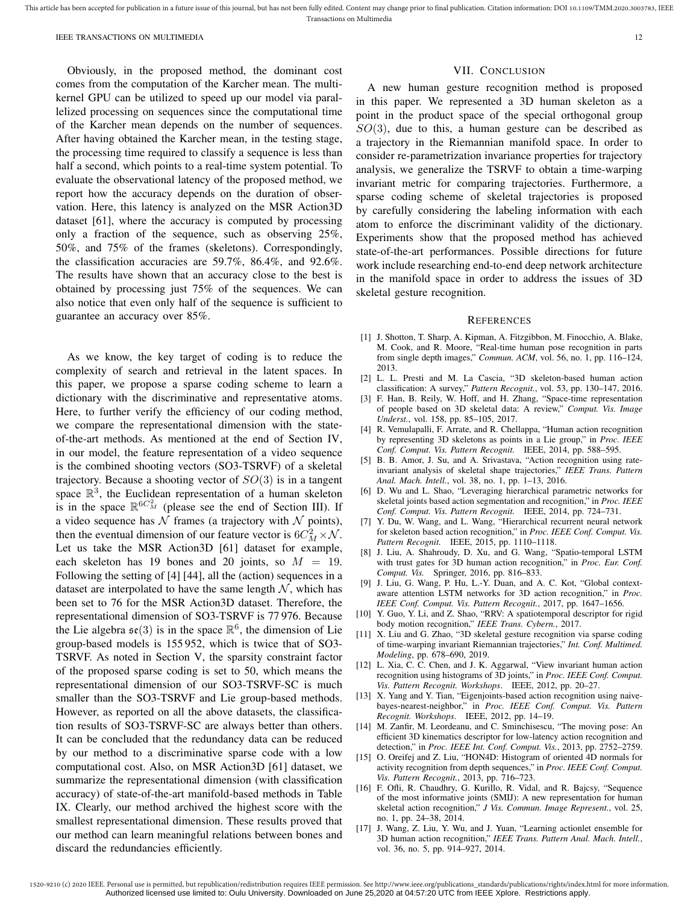Obviously, in the proposed method, the dominant cost comes from the computation of the Karcher mean. The multikernel GPU can be utilized to speed up our model via parallelized processing on sequences since the computational time of the Karcher mean depends on the number of sequences. After having obtained the Karcher mean, in the testing stage, the processing time required to classify a sequence is less than half a second, which points to a real-time system potential. To evaluate the observational latency of the proposed method, we report how the accuracy depends on the duration of observation. Here, this latency is analyzed on the MSR Action3D dataset [61], where the accuracy is computed by processing only a fraction of the sequence, such as observing 25%, 50%, and 75% of the frames (skeletons). Correspondingly, the classification accuracies are 59.7%, 86.4%, and 92.6%. The results have shown that an accuracy close to the best is obtained by processing just 75% of the sequences. We can also notice that even only half of the sequence is sufficient to guarantee an accuracy over 85%.

As we know, the key target of coding is to reduce the complexity of search and retrieval in the latent spaces. In this paper, we propose a sparse coding scheme to learn a dictionary with the discriminative and representative atoms. Here, to further verify the efficiency of our coding method, we compare the representational dimension with the stateof-the-art methods. As mentioned at the end of Section IV, in our model, the feature representation of a video sequence is the combined shooting vectors (SO3-TSRVF) of a skeletal trajectory. Because a shooting vector of  $SO(3)$  is in a tangent space  $\mathbb{R}^3$ , the Euclidean representation of a human skeleton is in the space  $\mathbb{R}^{6C_M^2}$  (please see the end of Section III). If a video sequence has  $N$  frames (a trajectory with  $N$  points), then the eventual dimension of our feature vector is  $6C_M^2 \times \mathcal{N}$ . Let us take the MSR Action3D [61] dataset for example, each skeleton has 19 bones and 20 joints, so  $M = 19$ . Following the setting of [4] [44], all the (action) sequences in a dataset are interpolated to have the same length  $N$ , which has been set to 76 for the MSR Action3D dataset. Therefore, the representational dimension of SO3-TSRVF is 77 976. Because the Lie algebra  $\mathfrak{se}(3)$  is in the space  $\mathbb{R}^6$ , the dimension of Lie group-based models is 155 952, which is twice that of SO3- TSRVF. As noted in Section V, the sparsity constraint factor of the proposed sparse coding is set to 50, which means the representational dimension of our SO3-TSRVF-SC is much smaller than the SO3-TSRVF and Lie group-based methods. However, as reported on all the above datasets, the classification results of SO3-TSRVF-SC are always better than others. It can be concluded that the redundancy data can be reduced by our method to a discriminative sparse code with a low computational cost. Also, on MSR Action3D [61] dataset, we summarize the representational dimension (with classification accuracy) of state-of-the-art manifold-based methods in Table IX. Clearly, our method archived the highest score with the smallest representational dimension. These results proved that our method can learn meaningful relations between bones and discard the redundancies efficiently.

# VII. CONCLUSION

A new human gesture recognition method is proposed in this paper. We represented a 3D human skeleton as a point in the product space of the special orthogonal group  $SO(3)$ , due to this, a human gesture can be described as a trajectory in the Riemannian manifold space. In order to consider re-parametrization invariance properties for trajectory analysis, we generalize the TSRVF to obtain a time-warping invariant metric for comparing trajectories. Furthermore, a sparse coding scheme of skeletal trajectories is proposed by carefully considering the labeling information with each atom to enforce the discriminant validity of the dictionary. Experiments show that the proposed method has achieved state-of-the-art performances. Possible directions for future work include researching end-to-end deep network architecture in the manifold space in order to address the issues of 3D skeletal gesture recognition.

## **REFERENCES**

- [1] J. Shotton, T. Sharp, A. Kipman, A. Fitzgibbon, M. Finocchio, A. Blake, M. Cook, and R. Moore, "Real-time human pose recognition in parts from single depth images," *Commun. ACM*, vol. 56, no. 1, pp. 116–124, 2013.
- [2] L. L. Presti and M. La Cascia, "3D skeleton-based human action classification: A survey," *Pattern Recognit.*, vol. 53, pp. 130–147, 2016.
- [3] F. Han, B. Reily, W. Hoff, and H. Zhang, "Space-time representation of people based on 3D skeletal data: A review," *Comput. Vis. Image Underst.*, vol. 158, pp. 85–105, 2017.
- [4] R. Vemulapalli, F. Arrate, and R. Chellappa, "Human action recognition by representing 3D skeletons as points in a Lie group," in *Proc. IEEE Conf. Comput. Vis. Pattern Recognit.* IEEE, 2014, pp. 588–595.
- [5] B. B. Amor, J. Su, and A. Srivastava, "Action recognition using rateinvariant analysis of skeletal shape trajectories," *IEEE Trans. Pattern Anal. Mach. Intell.*, vol. 38, no. 1, pp. 1–13, 2016.
- [6] D. Wu and L. Shao, "Leveraging hierarchical parametric networks for skeletal joints based action segmentation and recognition," in *Proc. IEEE Conf. Comput. Vis. Pattern Recognit.* IEEE, 2014, pp. 724–731.
- [7] Y. Du, W. Wang, and L. Wang, "Hierarchical recurrent neural network for skeleton based action recognition," in *Proc. IEEE Conf. Comput. Vis. Pattern Recognit.* IEEE, 2015, pp. 1110–1118.
- [8] J. Liu, A. Shahroudy, D. Xu, and G. Wang, "Spatio-temporal LSTM with trust gates for 3D human action recognition," in *Proc. Eur. Conf. Comput. Vis.* Springer, 2016, pp. 816–833.
- [9] J. Liu, G. Wang, P. Hu, L.-Y. Duan, and A. C. Kot, "Global contextaware attention LSTM networks for 3D action recognition," in *Proc. IEEE Conf. Comput. Vis. Pattern Recognit.*, 2017, pp. 1647–1656.
- [10] Y. Guo, Y. Li, and Z. Shao, "RRV: A spatiotemporal descriptor for rigid body motion recognition," *IEEE Trans. Cybern.*, 2017.
- [11] X. Liu and G. Zhao, "3D skeletal gesture recognition via sparse coding of time-warping invariant Riemannian trajectories," *Int. Conf. Multimed. Modeling*, pp. 678–690, 2019.
- [12] L. Xia, C. C. Chen, and J. K. Aggarwal, "View invariant human action recognition using histograms of 3D joints," in *Proc. IEEE Conf. Comput. Vis. Pattern Recognit. Workshops*. IEEE, 2012, pp. 20–27.
- [13] X. Yang and Y. Tian, "Eigenjoints-based action recognition using naivebayes-nearest-neighbor," in *Proc. IEEE Conf. Comput. Vis. Pattern Recognit. Workshops*. IEEE, 2012, pp. 14–19.
- [14] M. Zanfir, M. Leordeanu, and C. Sminchisescu, "The moving pose: An efficient 3D kinematics descriptor for low-latency action recognition and detection," in *Proc. IEEE Int. Conf. Comput. Vis.*, 2013, pp. 2752–2759.
- [15] O. Oreifej and Z. Liu, "HON4D: Histogram of oriented 4D normals for activity recognition from depth sequences," in *Proc. IEEE Conf. Comput. Vis. Pattern Recognit.*, 2013, pp. 716–723.
- [16] F. Ofli, R. Chaudhry, G. Kurillo, R. Vidal, and R. Bajcsy, "Sequence of the most informative joints (SMIJ): A new representation for human skeletal action recognition," *J Vis. Commun. Image Represent.*, vol. 25, no. 1, pp. 24–38, 2014.
- [17] J. Wang, Z. Liu, Y. Wu, and J. Yuan, "Learning actionlet ensemble for 3D human action recognition," *IEEE Trans. Pattern Anal. Mach. Intell.*, vol. 36, no. 5, pp. 914–927, 2014.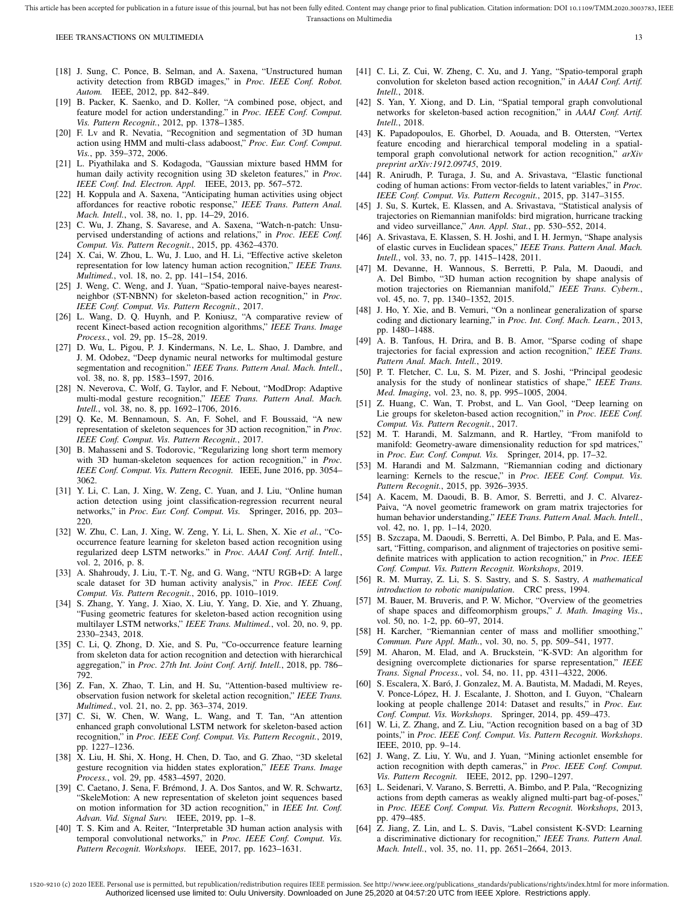- [18] J. Sung, C. Ponce, B. Selman, and A. Saxena, "Unstructured human activity detection from RBGD images," in *Proc. IEEE Conf. Robot. Autom.* IEEE, 2012, pp. 842–849.
- [19] B. Packer, K. Saenko, and D. Koller, "A combined pose, object, and feature model for action understanding." in *Proc. IEEE Conf. Comput. Vis. Pattern Recognit.*, 2012, pp. 1378–1385.
- [20] F. Lv and R. Nevatia, "Recognition and segmentation of 3D human action using HMM and multi-class adaboost," *Proc. Eur. Conf. Comput. Vis.*, pp. 359–372, 2006.
- [21] L. Piyathilaka and S. Kodagoda, "Gaussian mixture based HMM for human daily activity recognition using 3D skeleton features," in *Proc. IEEE Conf. Ind. Electron. Appl.* IEEE, 2013, pp. 567–572.
- [22] H. Koppula and A. Saxena, "Anticipating human activities using object affordances for reactive robotic response," *IEEE Trans. Pattern Anal. Mach. Intell.*, vol. 38, no. 1, pp. 14–29, 2016.
- [23] C. Wu, J. Zhang, S. Savarese, and A. Saxena, "Watch-n-patch: Unsupervised understanding of actions and relations," in *Proc. IEEE Conf. Comput. Vis. Pattern Recognit.*, 2015, pp. 4362–4370.
- [24] X. Cai, W. Zhou, L. Wu, J. Luo, and H. Li, "Effective active skeleton representation for low latency human action recognition," *IEEE Trans. Multimed.*, vol. 18, no. 2, pp. 141–154, 2016.
- [25] J. Weng, C. Weng, and J. Yuan, "Spatio-temporal naive-bayes nearestneighbor (ST-NBNN) for skeleton-based action recognition," in *Proc. IEEE Conf. Comput. Vis. Pattern Recognit.*, 2017.
- [26] L. Wang, D. Q. Huynh, and P. Koniusz, "A comparative review of recent Kinect-based action recognition algorithms," *IEEE Trans. Image Process.*, vol. 29, pp. 15–28, 2019.
- [27] D. Wu, L. Pigou, P. J. Kindermans, N. Le, L. Shao, J. Dambre, and J. M. Odobez, "Deep dynamic neural networks for multimodal gesture segmentation and recognition." *IEEE Trans. Pattern Anal. Mach. Intell.*, vol. 38, no. 8, pp. 1583–1597, 2016.
- [28] N. Neverova, C. Wolf, G. Taylor, and F. Nebout, "ModDrop: Adaptive multi-modal gesture recognition," *IEEE Trans. Pattern Anal. Mach. Intell.*, vol. 38, no. 8, pp. 1692–1706, 2016.
- [29] O. Ke, M. Bennamoun, S. An, F. Sohel, and F. Boussaid, "A new representation of skeleton sequences for 3D action recognition," in *Proc. IEEE Conf. Comput. Vis. Pattern Recognit.*, 2017.
- [30] B. Mahasseni and S. Todorovic, "Regularizing long short term memory with 3D human-skeleton sequences for action recognition," in *Proc. IEEE Conf. Comput. Vis. Pattern Recognit.* IEEE, June 2016, pp. 3054– 3062.
- [31] Y. Li, C. Lan, J. Xing, W. Zeng, C. Yuan, and J. Liu, "Online human action detection using joint classification-regression recurrent neural networks," in *Proc. Eur. Conf. Comput. Vis.* Springer, 2016, pp. 203– 220.
- [32] W. Zhu, C. Lan, J. Xing, W. Zeng, Y. Li, L. Shen, X. Xie *et al.*, "Cooccurrence feature learning for skeleton based action recognition using regularized deep LSTM networks." in *Proc. AAAI Conf. Artif. Intell.*, vol. 2, 2016, p. 8.
- [33] A. Shahroudy, J. Liu, T.-T. Ng, and G. Wang, "NTU RGB+D: A large scale dataset for 3D human activity analysis," in *Proc. IEEE Conf. Comput. Vis. Pattern Recognit.*, 2016, pp. 1010–1019.
- [34] S. Zhang, Y. Yang, J. Xiao, X. Liu, Y. Yang, D. Xie, and Y. Zhuang, "Fusing geometric features for skeleton-based action recognition using multilayer LSTM networks," *IEEE Trans. Multimed.*, vol. 20, no. 9, pp. 2330–2343, 2018.
- [35] C. Li, Q. Zhong, D. Xie, and S. Pu, "Co-occurrence feature learning from skeleton data for action recognition and detection with hierarchical aggregation," in *Proc. 27th Int. Joint Conf. Artif. Intell.*, 2018, pp. 786– 792.
- [36] Z. Fan, X. Zhao, T. Lin, and H. Su, "Attention-based multiview reobservation fusion network for skeletal action recognition," *IEEE Trans. Multimed.*, vol. 21, no. 2, pp. 363–374, 2019.
- [37] C. Si, W. Chen, W. Wang, L. Wang, and T. Tan, "An attention enhanced graph convolutional LSTM network for skeleton-based action recognition," in *Proc. IEEE Conf. Comput. Vis. Pattern Recognit.*, 2019, pp. 1227–1236.
- [38] X. Liu, H. Shi, X. Hong, H. Chen, D. Tao, and G. Zhao, "3D skeletal gesture recognition via hidden states exploration," *IEEE Trans. Image Process.*, vol. 29, pp. 4583–4597, 2020.
- [39] C. Caetano, J. Sena, F. Brémond, J. A. Dos Santos, and W. R. Schwartz, "SkeleMotion: A new representation of skeleton joint sequences based on motion information for 3D action recognition," in *IEEE Int. Conf. Advan. Vid. Signal Surv.* IEEE, 2019, pp. 1–8.
- [40] T. S. Kim and A. Reiter, "Interpretable 3D human action analysis with temporal convolutional networks," in *Proc. IEEE Conf. Comput. Vis. Pattern Recognit. Workshops*. IEEE, 2017, pp. 1623–1631.
- [41] C. Li, Z. Cui, W. Zheng, C. Xu, and J. Yang, "Spatio-temporal graph convolution for skeleton based action recognition," in *AAAI Conf. Artif. Intell.*, 2018.
- [42] S. Yan, Y. Xiong, and D. Lin, "Spatial temporal graph convolutional networks for skeleton-based action recognition," in *AAAI Conf. Artif. Intell.*, 2018.
- [43] K. Papadopoulos, E. Ghorbel, D. Aouada, and B. Ottersten, "Vertex feature encoding and hierarchical temporal modeling in a spatialtemporal graph convolutional network for action recognition," *arXiv preprint arXiv:1912.09745*, 2019.
- [44] R. Anirudh, P. Turaga, J. Su, and A. Srivastava, "Elastic functional coding of human actions: From vector-fields to latent variables," in *Proc. IEEE Conf. Comput. Vis. Pattern Recognit.*, 2015, pp. 3147–3155.
- [45] J. Su, S. Kurtek, E. Klassen, and A. Srivastava, "Statistical analysis of trajectories on Riemannian manifolds: bird migration, hurricane tracking and video surveillance," *Ann. Appl. Stat.*, pp. 530–552, 2014.
- [46] A. Srivastava, E. Klassen, S. H. Joshi, and I. H. Jermyn, "Shape analysis of elastic curves in Euclidean spaces," *IEEE Trans. Pattern Anal. Mach. Intell.*, vol. 33, no. 7, pp. 1415–1428, 2011.
- [47] M. Devanne, H. Wannous, S. Berretti, P. Pala, M. Daoudi, and A. Del Bimbo, "3D human action recognition by shape analysis of motion trajectories on Riemannian manifold," *IEEE Trans. Cybern.*, vol. 45, no. 7, pp. 1340–1352, 2015.
- [48] J. Ho, Y. Xie, and B. Vemuri, "On a nonlinear generalization of sparse coding and dictionary learning," in *Proc. Int. Conf. Mach. Learn.*, 2013, pp. 1480–1488.
- [49] A. B. Tanfous, H. Drira, and B. B. Amor, "Sparse coding of shape trajectories for facial expression and action recognition," *IEEE Trans. Pattern Anal. Mach. Intell.*, 2019.
- [50] P. T. Fletcher, C. Lu, S. M. Pizer, and S. Joshi, "Principal geodesic analysis for the study of nonlinear statistics of shape," *IEEE Trans. Med. Imaging*, vol. 23, no. 8, pp. 995–1005, 2004.
- [51] Z. Huang, C. Wan, T. Probst, and L. Van Gool, "Deep learning on Lie groups for skeleton-based action recognition," in *Proc. IEEE Conf. Comput. Vis. Pattern Recognit.*, 2017.
- [52] M. T. Harandi, M. Salzmann, and R. Hartley, "From manifold to manifold: Geometry-aware dimensionality reduction for spd matrices," in *Proc. Eur. Conf. Comput. Vis.* Springer, 2014, pp. 17–32.
- [53] M. Harandi and M. Salzmann, "Riemannian coding and dictionary learning: Kernels to the rescue," in *Proc. IEEE Conf. Comput. Vis. Pattern Recognit.*, 2015, pp. 3926–3935.
- [54] A. Kacem, M. Daoudi, B. B. Amor, S. Berretti, and J. C. Alvarez-Paiva, "A novel geometric framework on gram matrix trajectories for human behavior understanding," *IEEE Trans. Pattern Anal. Mach. Intell.*, vol. 42, no. 1, pp. 1–14, 2020.
- [55] B. Szczapa, M. Daoudi, S. Berretti, A. Del Bimbo, P. Pala, and E. Massart, "Fitting, comparison, and alignment of trajectories on positive semidefinite matrices with application to action recognition," in *Proc. IEEE Conf. Comput. Vis. Pattern Recognit. Workshops*, 2019.
- [56] R. M. Murray, Z. Li, S. S. Sastry, and S. S. Sastry, *A mathematical introduction to robotic manipulation*. CRC press, 1994.
- [57] M. Bauer, M. Bruveris, and P. W. Michor, "Overview of the geometries of shape spaces and diffeomorphism groups," *J. Math. Imaging Vis.*, vol. 50, no. 1-2, pp. 60–97, 2014.
- [58] H. Karcher, "Riemannian center of mass and mollifier smoothing," *Commun. Pure Appl. Math.*, vol. 30, no. 5, pp. 509–541, 1977.
- [59] M. Aharon, M. Elad, and A. Bruckstein, "K-SVD: An algorithm for designing overcomplete dictionaries for sparse representation," *IEEE Trans. Signal Process.*, vol. 54, no. 11, pp. 4311–4322, 2006.
- [60] S. Escalera, X. Baró, J. Gonzalez, M. A. Bautista, M. Madadi, M. Reyes, V. Ponce-López, H. J. Escalante, J. Shotton, and I. Guyon, "Chalearn looking at people challenge 2014: Dataset and results," in *Proc. Eur. Conf. Comput. Vis. Workshops*. Springer, 2014, pp. 459–473.
- [61] W. Li, Z. Zhang, and Z. Liu, "Action recognition based on a bag of 3D points," in *Proc. IEEE Conf. Comput. Vis. Pattern Recognit. Workshops*. IEEE, 2010, pp. 9–14.
- [62] J. Wang, Z. Liu, Y. Wu, and J. Yuan, "Mining actionlet ensemble for action recognition with depth cameras," in *Proc. IEEE Conf. Comput. Vis. Pattern Recognit.* IEEE, 2012, pp. 1290–1297.
- [63] L. Seidenari, V. Varano, S. Berretti, A. Bimbo, and P. Pala, "Recognizing actions from depth cameras as weakly aligned multi-part bag-of-poses, in *Proc. IEEE Conf. Comput. Vis. Pattern Recognit. Workshops*, 2013, pp. 479–485.
- [64] Z. Jiang, Z. Lin, and L. S. Davis, "Label consistent K-SVD: Learning a discriminative dictionary for recognition," *IEEE Trans. Pattern Anal. Mach. Intell.*, vol. 35, no. 11, pp. 2651–2664, 2013.